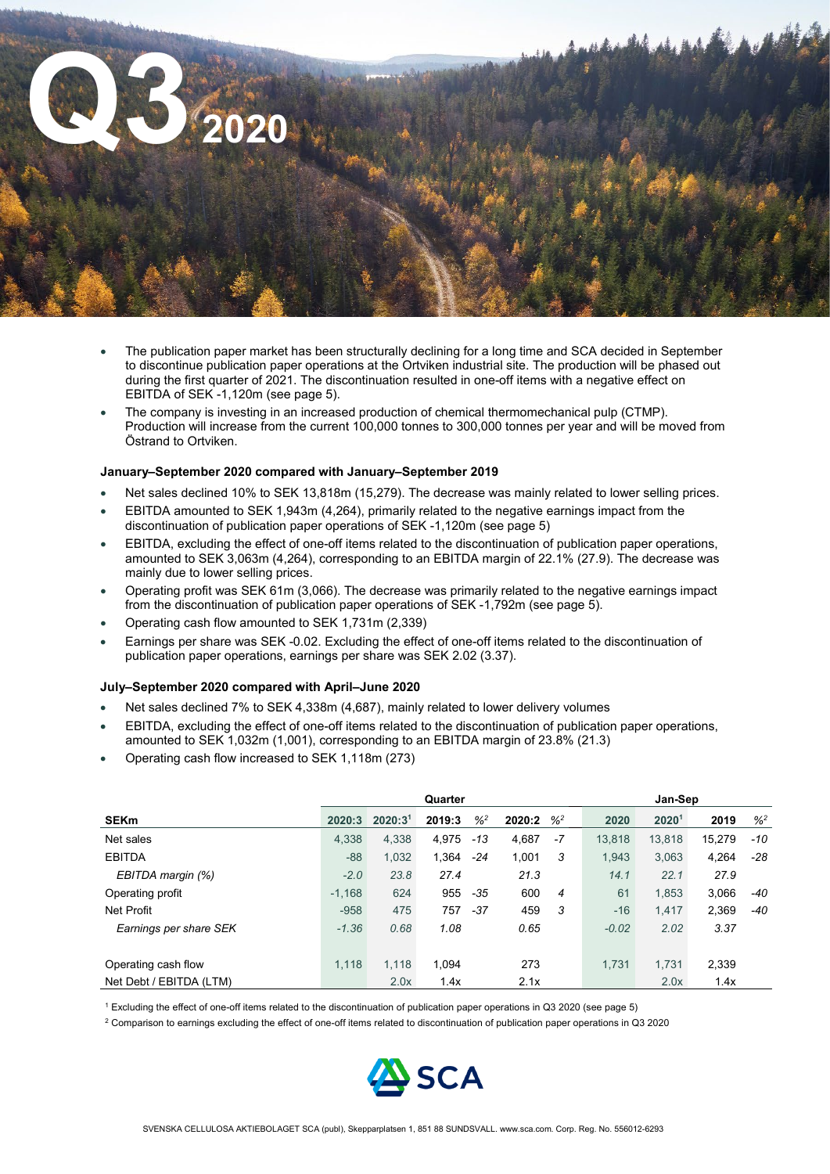

- The publication paper market has been structurally declining for a long time and SCA decided in September to discontinue publication paper operations at the Ortviken industrial site. The production will be phased out during the first quarter of 2021. The discontinuation resulted in one-off items with a negative effect on EBITDA of SEK -1,120m (see page 5).
- The company is investing in an increased production of chemical thermomechanical pulp (CTMP). Production will increase from the current 100,000 tonnes to 300,000 tonnes per year and will be moved from Östrand to Ortviken.

#### **January–September 2020 compared with January–September 2019**

- Net sales declined 10% to SEK 13,818m (15,279). The decrease was mainly related to lower selling prices.
- EBITDA amounted to SEK 1,943m (4,264), primarily related to the negative earnings impact from the discontinuation of publication paper operations of SEK -1,120m (see page 5)
- EBITDA, excluding the effect of one-off items related to the discontinuation of publication paper operations, amounted to SEK 3,063m (4,264), corresponding to an EBITDA margin of 22.1% (27.9). The decrease was mainly due to lower selling prices.
- Operating profit was SEK 61m (3,066). The decrease was primarily related to the negative earnings impact from the discontinuation of publication paper operations of SEK -1,792m (see page 5).
- Operating cash flow amounted to SEK 1,731m (2,339)
- Earnings per share was SEK -0.02. Excluding the effect of one-off items related to the discontinuation of publication paper operations, earnings per share was SEK 2.02 (3.37).

#### **July–September 2020 compared with April–June 2020**

- Net sales declined 7% to SEK 4,338m (4,687), mainly related to lower delivery volumes
- EBITDA, excluding the effect of one-off items related to the discontinuation of publication paper operations, amounted to SEK 1,032m (1,001), corresponding to an EBITDA margin of 23.8% (21.3)
- Operating cash flow increased to SEK 1,118m (273)

|                         | Quarter  |                     |        |                            |        | Jan-Sep       |         |        |        |         |
|-------------------------|----------|---------------------|--------|----------------------------|--------|---------------|---------|--------|--------|---------|
| <b>SEKm</b>             | 2020:3   | 2020:3 <sup>1</sup> | 2019:3 | $\frac{9}{6}$ <sup>2</sup> | 2020:2 | $\frac{9}{2}$ | 2020    | 20201  | 2019   | $%^{2}$ |
| Net sales               | 4,338    | 4,338               | 4,975  | $-13$                      | 4,687  | $-7$          | 13.818  | 13,818 | 15,279 | -10     |
| <b>EBITDA</b>           | $-88$    | 1,032               | 1,364  | -24                        | 1,001  | 3             | 1.943   | 3,063  | 4,264  | $-28$   |
| EBITDA margin (%)       | $-2.0$   | 23.8                | 27.4   |                            | 21.3   |               | 14.1    | 22.1   | 27.9   |         |
| Operating profit        | $-1.168$ | 624                 | 955    | -35                        | 600    | 4             | 61      | 1,853  | 3,066  | -40     |
| Net Profit              | $-958$   | 475                 | 757    | $-37$                      | 459    | 3             | $-16$   | 1.417  | 2,369  | -40     |
| Earnings per share SEK  | $-1.36$  | 0.68                | 1.08   |                            | 0.65   |               | $-0.02$ | 2.02   | 3.37   |         |
|                         |          |                     |        |                            |        |               |         |        |        |         |
| Operating cash flow     | 1,118    | 1.118               | 1.094  |                            | 273    |               | 1.731   | 1,731  | 2,339  |         |
| Net Debt / EBITDA (LTM) |          | 2.0x                | 1.4x   |                            | 2.1x   |               |         | 2.0x   | 1.4x   |         |

<sup>1</sup> Excluding the effect of one-off items related to the discontinuation of publication paper operations in Q3 2020 (see page 5)

<sup>2</sup> Comparison to earnings excluding the effect of one-off items related to discontinuation of publication paper operations in Q3 2020

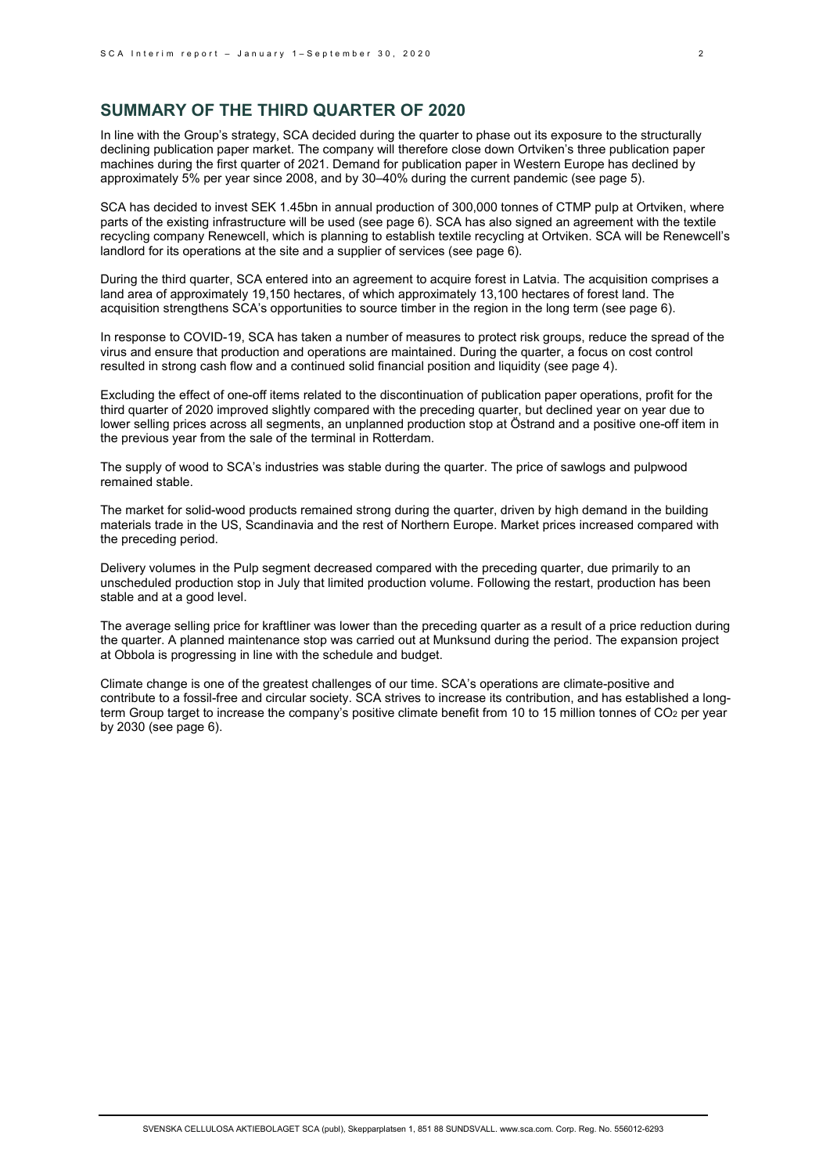# **SUMMARY OF THE THIRD QUARTER OF 2020**

In line with the Group's strategy, SCA decided during the quarter to phase out its exposure to the structurally declining publication paper market. The company will therefore close down Ortviken's three publication paper machines during the first quarter of 2021. Demand for publication paper in Western Europe has declined by approximately 5% per year since 2008, and by 30–40% during the current pandemic (see page 5).

SCA has decided to invest SEK 1.45bn in annual production of 300,000 tonnes of CTMP pulp at Ortviken, where parts of the existing infrastructure will be used (see page 6). SCA has also signed an agreement with the textile recycling company Renewcell, which is planning to establish textile recycling at Ortviken. SCA will be Renewcell's landlord for its operations at the site and a supplier of services (see page 6).

During the third quarter, SCA entered into an agreement to acquire forest in Latvia. The acquisition comprises a land area of approximately 19,150 hectares, of which approximately 13,100 hectares of forest land. The acquisition strengthens SCA's opportunities to source timber in the region in the long term (see page 6).

In response to COVID-19, SCA has taken a number of measures to protect risk groups, reduce the spread of the virus and ensure that production and operations are maintained. During the quarter, a focus on cost control resulted in strong cash flow and a continued solid financial position and liquidity (see page 4).

Excluding the effect of one-off items related to the discontinuation of publication paper operations, profit for the third quarter of 2020 improved slightly compared with the preceding quarter, but declined year on year due to lower selling prices across all segments, an unplanned production stop at Östrand and a positive one-off item in the previous year from the sale of the terminal in Rotterdam.

The supply of wood to SCA's industries was stable during the quarter. The price of sawlogs and pulpwood remained stable.

The market for solid-wood products remained strong during the quarter, driven by high demand in the building materials trade in the US, Scandinavia and the rest of Northern Europe. Market prices increased compared with the preceding period.

Delivery volumes in the Pulp segment decreased compared with the preceding quarter, due primarily to an unscheduled production stop in July that limited production volume. Following the restart, production has been stable and at a good level.

The average selling price for kraftliner was lower than the preceding quarter as a result of a price reduction during the quarter. A planned maintenance stop was carried out at Munksund during the period. The expansion project at Obbola is progressing in line with the schedule and budget.

Climate change is one of the greatest challenges of our time. SCA's operations are climate-positive and contribute to a fossil-free and circular society. SCA strives to increase its contribution, and has established a longterm Group target to increase the company's positive climate benefit from 10 to 15 million tonnes of CO<sub>2</sub> per year by 2030 (see page 6).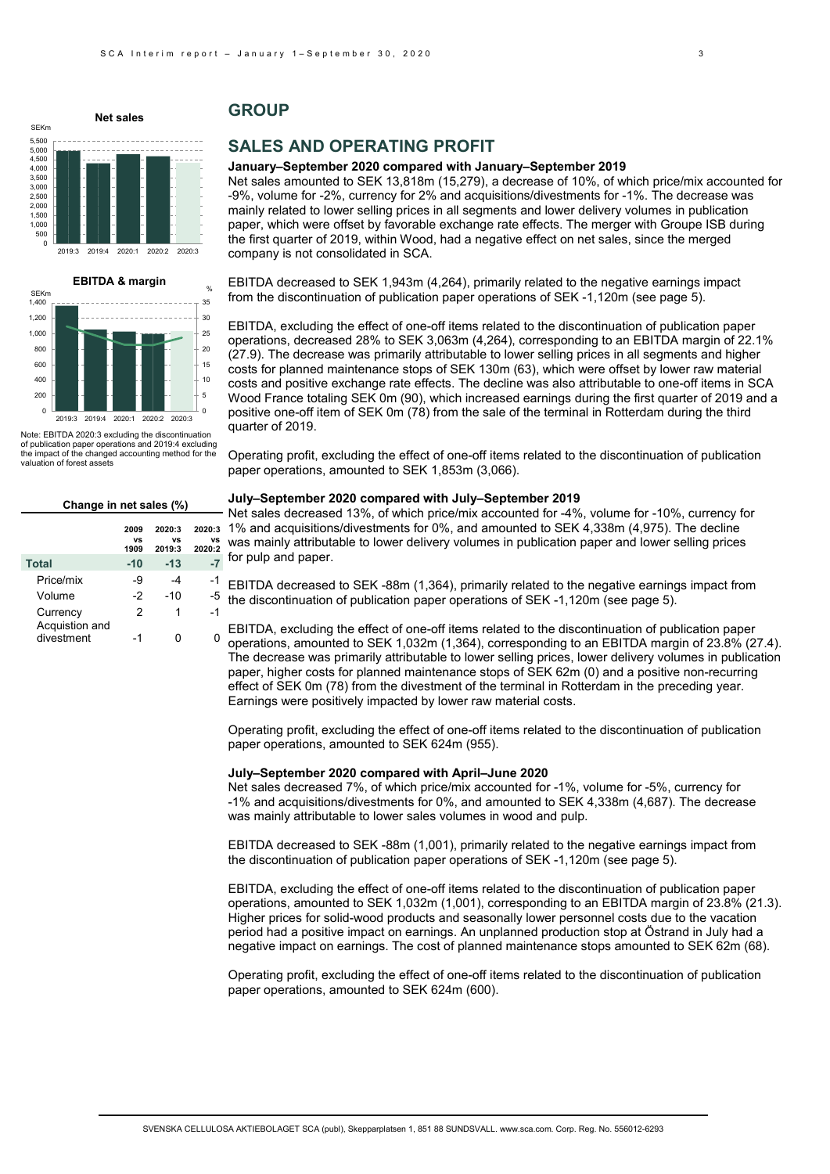# **Net sales**

5,500

SEKm

#### 0 500 1,000 1,500  $2.000$ 2,500 3,000 3,500 4,000 4,500 5,000 2019:3 2019:4 2020:1 2020:2 2020:3



Note: EBITDA 2020:3 excluding the discontinuation of publication paper operations and 2019:4 excluding the impact of the changed accounting method for the valuation of forest assets

| Change in net sales (%)      |                    |                        |                        |  |  |  |  |  |
|------------------------------|--------------------|------------------------|------------------------|--|--|--|--|--|
|                              | 2009<br>٧S<br>1909 | 2020:3<br>٧S<br>2019:3 | 2020:3<br>٧S<br>2020:2 |  |  |  |  |  |
| <b>Total</b>                 | $-10$              | $-13$                  | -7                     |  |  |  |  |  |
| Price/mix                    | $-9$               | -4                     | -1                     |  |  |  |  |  |
| Volume                       | $-2$               | -10                    | $-5$                   |  |  |  |  |  |
| Currency                     | 2                  | 1                      | $-1$                   |  |  |  |  |  |
| Acquistion and<br>divestment | -1                 |                        |                        |  |  |  |  |  |

# **GROUP**

# **SALES AND OPERATING PROFIT**

#### **January–September 2020 compared with January–September 2019**

Net sales amounted to SEK 13,818m (15,279), a decrease of 10%, of which price/mix accounted for -9%, volume for -2%, currency for 2% and acquisitions/divestments for -1%. The decrease was mainly related to lower selling prices in all segments and lower delivery volumes in publication paper, which were offset by favorable exchange rate effects. The merger with Groupe ISB during the first quarter of 2019, within Wood, had a negative effect on net sales, since the merged company is not consolidated in SCA.

EBITDA decreased to SEK 1,943m (4,264), primarily related to the negative earnings impact from the discontinuation of publication paper operations of SEK -1,120m (see page 5).

EBITDA, excluding the effect of one-off items related to the discontinuation of publication paper operations, decreased 28% to SEK 3,063m (4,264), corresponding to an EBITDA margin of 22.1% (27.9). The decrease was primarily attributable to lower selling prices in all segments and higher costs for planned maintenance stops of SEK 130m (63), which were offset by lower raw material costs and positive exchange rate effects. The decline was also attributable to one-off items in SCA Wood France totaling SEK 0m (90), which increased earnings during the first quarter of 2019 and a positive one-off item of SEK 0m (78) from the sale of the terminal in Rotterdam during the third quarter of 2019.

Operating profit, excluding the effect of one-off items related to the discontinuation of publication paper operations, amounted to SEK 1,853m (3,066).

# **July–September 2020 compared with July–September 2019**

Net sales decreased 13%, of which price/mix accounted for -4%, volume for -10%, currency for 1% and acquisitions/divestments for 0%, and amounted to SEK 4,338m (4,975). The decline was mainly attributable to lower delivery volumes in publication paper and lower selling prices for pulp and paper.

EBITDA decreased to SEK -88m (1,364), primarily related to the negative earnings impact from the discontinuation of publication paper operations of SEK -1,120m (see page 5).

EBITDA, excluding the effect of one-off items related to the discontinuation of publication paper operations, amounted to SEK 1,032m (1,364), corresponding to an EBITDA margin of 23.8% (27.4). The decrease was primarily attributable to lower selling prices, lower delivery volumes in publication paper, higher costs for planned maintenance stops of SEK 62m (0) and a positive non-recurring effect of SEK 0m (78) from the divestment of the terminal in Rotterdam in the preceding year. Earnings were positively impacted by lower raw material costs.

Operating profit, excluding the effect of one-off items related to the discontinuation of publication paper operations, amounted to SEK 624m (955).

#### **July–September 2020 compared with April–June 2020**

Net sales decreased 7%, of which price/mix accounted for -1%, volume for -5%, currency for -1% and acquisitions/divestments for 0%, and amounted to SEK 4,338m (4,687). The decrease was mainly attributable to lower sales volumes in wood and pulp.

EBITDA decreased to SEK -88m (1,001), primarily related to the negative earnings impact from the discontinuation of publication paper operations of SEK -1,120m (see page 5).

EBITDA, excluding the effect of one-off items related to the discontinuation of publication paper operations, amounted to SEK 1,032m (1,001), corresponding to an EBITDA margin of 23.8% (21.3). Higher prices for solid-wood products and seasonally lower personnel costs due to the vacation period had a positive impact on earnings. An unplanned production stop at Östrand in July had a negative impact on earnings. The cost of planned maintenance stops amounted to SEK 62m (68).

Operating profit, excluding the effect of one-off items related to the discontinuation of publication paper operations, amounted to SEK 624m (600).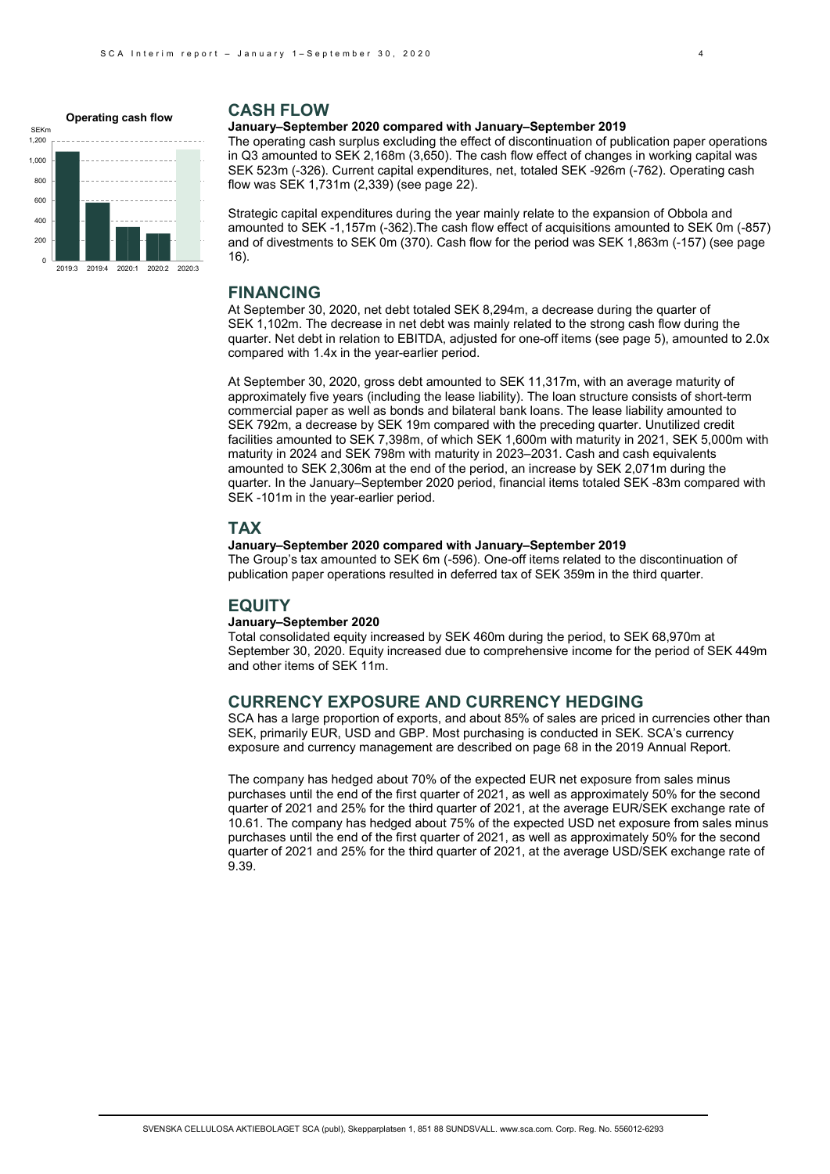

# **CASH FLOW**

#### **January–September 2020 compared with January–September 2019**

The operating cash surplus excluding the effect of discontinuation of publication paper operations in Q3 amounted to SEK 2,168m (3,650). The cash flow effect of changes in working capital was SEK 523m (-326). Current capital expenditures, net, totaled SEK -926m (-762). Operating cash flow was SEK 1,731m (2,339) (see page 22).

Strategic capital expenditures during the year mainly relate to the expansion of Obbola and amounted to SEK -1,157m (-362).The cash flow effect of acquisitions amounted to SEK 0m (-857) and of divestments to SEK 0m (370). Cash flow for the period was SEK 1,863m (-157) (see page 16).

### **FINANCING**

At September 30, 2020, net debt totaled SEK 8,294m, a decrease during the quarter of SEK 1,102m. The decrease in net debt was mainly related to the strong cash flow during the quarter. Net debt in relation to EBITDA, adjusted for one-off items (see page 5), amounted to 2.0x compared with 1.4x in the year-earlier period.

At September 30, 2020, gross debt amounted to SEK 11,317m, with an average maturity of approximately five years (including the lease liability). The loan structure consists of short-term commercial paper as well as bonds and bilateral bank loans. The lease liability amounted to SEK 792m, a decrease by SEK 19m compared with the preceding quarter. Unutilized credit facilities amounted to SEK 7,398m, of which SEK 1,600m with maturity in 2021, SEK 5,000m with maturity in 2024 and SEK 798m with maturity in 2023–2031. Cash and cash equivalents amounted to SEK 2,306m at the end of the period, an increase by SEK 2,071m during the quarter. In the January–September 2020 period, financial items totaled SEK -83m compared with SEK -101m in the year-earlier period.

# **TAX**

# **January–September 2020 compared with January–September 2019**

The Group's tax amounted to SEK 6m (-596). One-off items related to the discontinuation of publication paper operations resulted in deferred tax of SEK 359m in the third quarter.

# **EQUITY**

#### **January–September 2020**

Total consolidated equity increased by SEK 460m during the period, to SEK 68,970m at September 30, 2020. Equity increased due to comprehensive income for the period of SEK 449m and other items of SEK 11m.

# **CURRENCY EXPOSURE AND CURRENCY HEDGING**

SCA has a large proportion of exports, and about 85% of sales are priced in currencies other than SEK, primarily EUR, USD and GBP. Most purchasing is conducted in SEK. SCA's currency exposure and currency management are described on page 68 in the 2019 Annual Report.

The company has hedged about 70% of the expected EUR net exposure from sales minus purchases until the end of the first quarter of 2021, as well as approximately 50% for the second quarter of 2021 and 25% for the third quarter of 2021, at the average EUR/SEK exchange rate of 10.61. The company has hedged about 75% of the expected USD net exposure from sales minus purchases until the end of the first quarter of 2021, as well as approximately 50% for the second quarter of 2021 and 25% for the third quarter of 2021, at the average USD/SEK exchange rate of 9.39.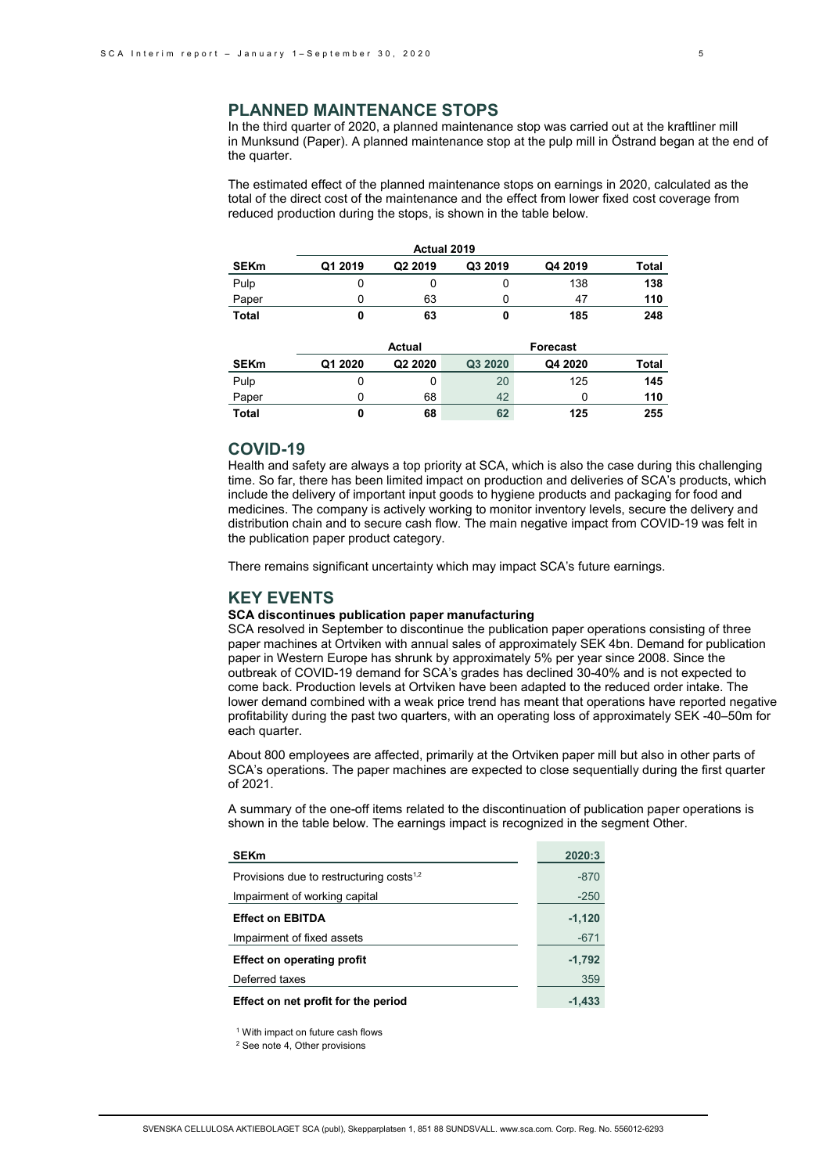# **PLANNED MAINTENANCE STOPS**

In the third quarter of 2020, a planned maintenance stop was carried out at the kraftliner mill in Munksund (Paper). A planned maintenance stop at the pulp mill in Östrand began at the end of the quarter.

The estimated effect of the planned maintenance stops on earnings in 2020, calculated as the total of the direct cost of the maintenance and the effect from lower fixed cost coverage from reduced production during the stops, is shown in the table below.

| Actual 2019  |         |                     |         |                 |              |  |  |  |  |  |
|--------------|---------|---------------------|---------|-----------------|--------------|--|--|--|--|--|
| <b>SEKm</b>  | Q1 2019 | Q <sub>2</sub> 2019 | Q3 2019 | Q4 2019         | <b>Total</b> |  |  |  |  |  |
| Pulp         | 0       | 0                   | 0       | 138             | 138          |  |  |  |  |  |
| Paper        | 0       | 63                  | 0       | 47              | 110          |  |  |  |  |  |
| <b>Total</b> | 0       | 63                  | 0       | 185             | 248          |  |  |  |  |  |
|              |         |                     |         |                 |              |  |  |  |  |  |
|              |         |                     |         |                 |              |  |  |  |  |  |
|              |         | <b>Actual</b>       |         | <b>Forecast</b> |              |  |  |  |  |  |
| <b>SEKm</b>  | Q1 2020 | Q2 2020             | Q3 2020 | Q4 2020         | Total        |  |  |  |  |  |
| Pulp         | 0       | 0                   | 20      | 125             | 145          |  |  |  |  |  |
| Paper        | 0       | 68                  | 42      | 0               | 110          |  |  |  |  |  |

# **COVID-19**

Health and safety are always a top priority at SCA, which is also the case during this challenging time. So far, there has been limited impact on production and deliveries of SCA's products, which include the delivery of important input goods to hygiene products and packaging for food and medicines. The company is actively working to monitor inventory levels, secure the delivery and distribution chain and to secure cash flow. The main negative impact from COVID-19 was felt in the publication paper product category.

There remains significant uncertainty which may impact SCA's future earnings.

### **KEY EVENTS**

#### **SCA discontinues publication paper manufacturing**

SCA resolved in September to discontinue the publication paper operations consisting of three paper machines at Ortviken with annual sales of approximately SEK 4bn. Demand for publication paper in Western Europe has shrunk by approximately 5% per year since 2008. Since the outbreak of COVID-19 demand for SCA's grades has declined 30-40% and is not expected to come back. Production levels at Ortviken have been adapted to the reduced order intake. The lower demand combined with a weak price trend has meant that operations have reported negative profitability during the past two quarters, with an operating loss of approximately SEK -40–50m for each quarter.

About 800 employees are affected, primarily at the Ortviken paper mill but also in other parts of SCA's operations. The paper machines are expected to close sequentially during the first quarter of 2021.

A summary of the one-off items related to the discontinuation of publication paper operations is shown in the table below. The earnings impact is recognized in the segment Other.

| <b>SEKm</b>                                          | 2020:3   |
|------------------------------------------------------|----------|
| Provisions due to restructuring costs <sup>1,2</sup> | $-870$   |
| Impairment of working capital                        | $-250$   |
| <b>Effect on EBITDA</b>                              | $-1,120$ |
| Impairment of fixed assets                           | $-671$   |
| <b>Effect on operating profit</b>                    | $-1,792$ |
| Deferred taxes                                       | 359      |
| Effect on net profit for the period                  | $-1.433$ |

<sup>1</sup> With impact on future cash flows

<sup>2</sup> See note 4, Other provisions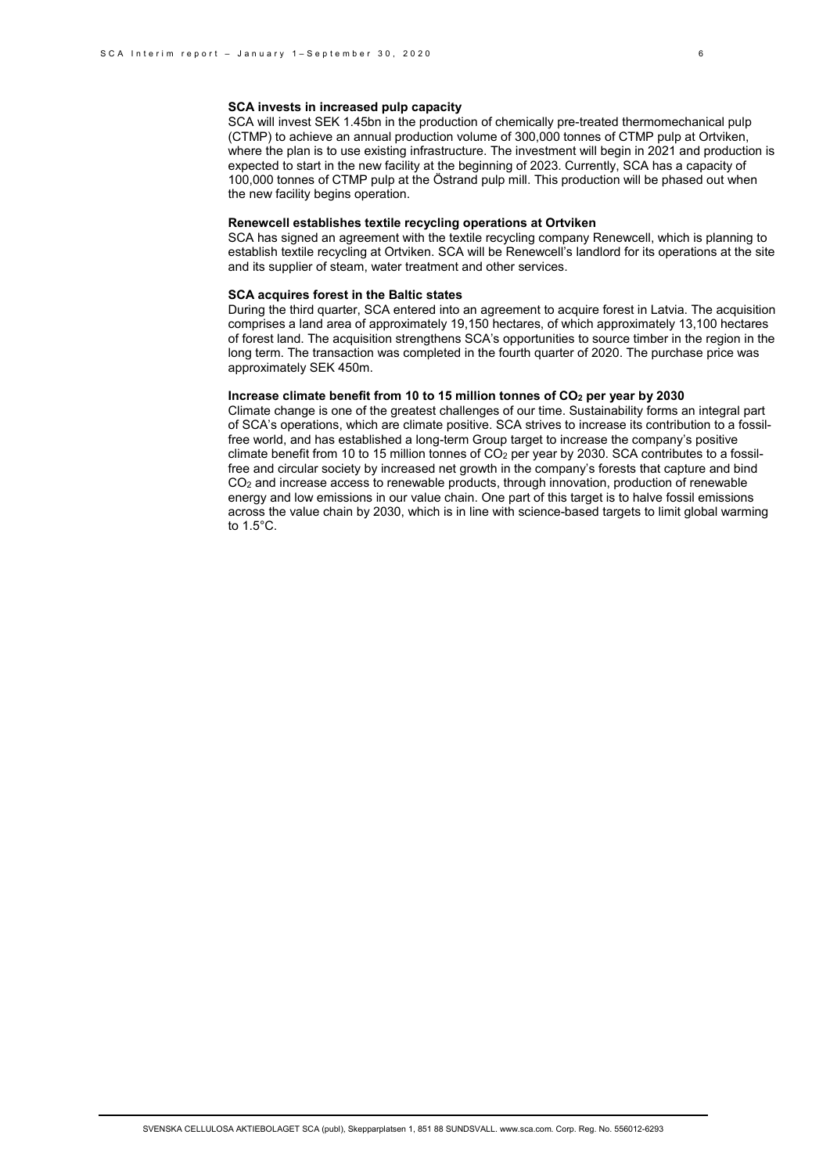SCA will invest SEK 1.45bn in the production of chemically pre-treated thermomechanical pulp (CTMP) to achieve an annual production volume of 300,000 tonnes of CTMP pulp at Ortviken, where the plan is to use existing infrastructure. The investment will begin in 2021 and production is expected to start in the new facility at the beginning of 2023. Currently, SCA has a capacity of 100,000 tonnes of CTMP pulp at the Östrand pulp mill. This production will be phased out when the new facility begins operation.

#### **Renewcell establishes textile recycling operations at Ortviken**

SCA has signed an agreement with the textile recycling company Renewcell, which is planning to establish textile recycling at Ortviken. SCA will be Renewcell's landlord for its operations at the site and its supplier of steam, water treatment and other services.

#### **SCA acquires forest in the Baltic states**

During the third quarter, SCA entered into an agreement to acquire forest in Latvia. The acquisition comprises a land area of approximately 19,150 hectares, of which approximately 13,100 hectares of forest land. The acquisition strengthens SCA's opportunities to source timber in the region in the long term. The transaction was completed in the fourth quarter of 2020. The purchase price was approximately SEK 450m.

# **Increase climate benefit from 10 to 15 million tonnes of CO2 per year by 2030**

Climate change is one of the greatest challenges of our time. Sustainability forms an integral part of SCA's operations, which are climate positive. SCA strives to increase its contribution to a fossilfree world, and has established a long-term Group target to increase the company's positive climate benefit from 10 to 15 million tonnes of CO2 per year by 2030. SCA contributes to a fossilfree and circular society by increased net growth in the company's forests that capture and bind CO2 and increase access to renewable products, through innovation, production of renewable energy and low emissions in our value chain. One part of this target is to halve fossil emissions across the value chain by 2030, which is in line with science-based targets to limit global warming to 1.5°C.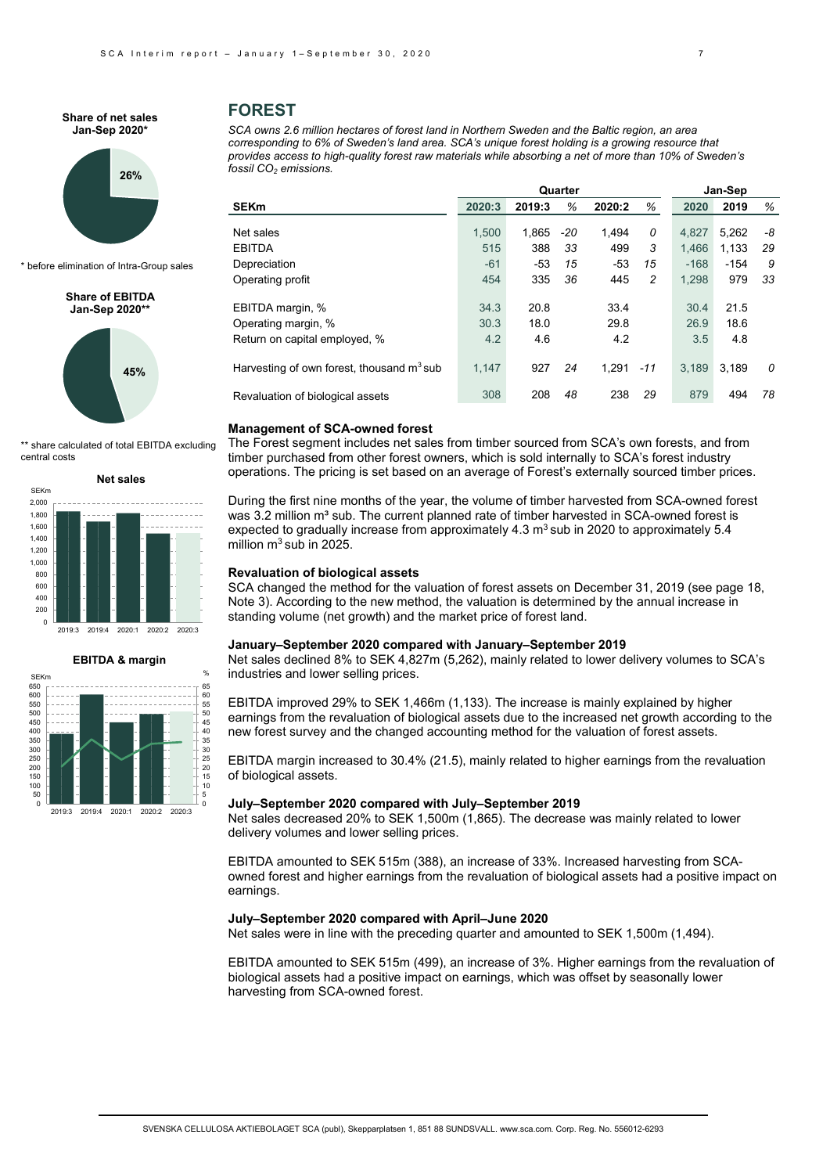#### **Share of net sales Jan-Sep 2020\***

# **26%**

\* before elimination of Intra-Group sales

#### **Share of EBITDA Jan-Sep 2020\*\***



\*\* share calculated of total EBITDA excluding central costs





# **FOREST**

*SCA owns 2.6 million hectares of forest land in Northern Sweden and the Baltic region, an area corresponding to 6% of Sweden's land area. SCA's unique forest holding is a growing resource that provides access to high-quality forest raw materials while absorbing a net of more than 10% of Sweden's fossil CO<sub>2</sub> emissions.* 

|                                                       |        | Quarter |     | Jan-Sep |       |        |        |    |
|-------------------------------------------------------|--------|---------|-----|---------|-------|--------|--------|----|
| <b>SEKm</b>                                           | 2020:3 | 2019:3  | %   | 2020:2  | %     | 2020   | 2019   | %  |
| Net sales                                             | 1.500  | 1,865   | -20 | 1,494   | 0     | 4.827  | 5,262  | -8 |
| <b>EBITDA</b>                                         | 515    | 388     | 33  | 499     | 3     | 1.466  | 1.133  | 29 |
| Depreciation                                          | $-61$  | $-53$   | 15  | $-53$   | 15    | $-168$ | $-154$ | 9  |
| Operating profit                                      | 454    | 335     | 36  | 445     | 2     | 1.298  | 979    | 33 |
| EBITDA margin, %                                      | 34.3   | 20.8    |     | 33.4    |       | 30.4   | 21.5   |    |
| Operating margin, %                                   | 30.3   | 18.0    |     | 29.8    |       | 26.9   | 18.6   |    |
| Return on capital employed, %                         | 4.2    | 4.6     |     | 4.2     |       | 3.5    | 4.8    |    |
| Harvesting of own forest, thousand m <sup>3</sup> sub | 1.147  | 927     | 24  | 1.291   | $-11$ | 3.189  | 3.189  | 0  |
| Revaluation of biological assets                      | 308    | 208     | 48  | 238     | 29    | 879    | 494    | 78 |
|                                                       |        |         |     |         |       |        |        |    |

#### **Management of SCA-owned forest**

The Forest segment includes net sales from timber sourced from SCA's own forests, and from timber purchased from other forest owners, which is sold internally to SCA's forest industry operations. The pricing is set based on an average of Forest's externally sourced timber prices.

During the first nine months of the year, the volume of timber harvested from SCA-owned forest was 3.2 million m<sup>3</sup> sub. The current planned rate of timber harvested in SCA-owned forest is expected to gradually increase from approximately  $4.3 \text{ m}^3$  sub in 2020 to approximately 5.4 million  $m^3$  sub in 2025.

# **Revaluation of biological assets**

SCA changed the method for the valuation of forest assets on December 31, 2019 (see page 18, Note 3). According to the new method, the valuation is determined by the annual increase in standing volume (net growth) and the market price of forest land.

#### **January–September 2020 compared with January–September 2019**

Net sales declined 8% to SEK 4,827m (5,262), mainly related to lower delivery volumes to SCA's industries and lower selling prices.

EBITDA improved 29% to SEK 1,466m (1,133). The increase is mainly explained by higher earnings from the revaluation of biological assets due to the increased net growth according to the new forest survey and the changed accounting method for the valuation of forest assets.

EBITDA margin increased to 30.4% (21.5), mainly related to higher earnings from the revaluation of biological assets.

#### **July–September 2020 compared with July–September 2019**

Net sales decreased 20% to SEK 1,500m (1,865). The decrease was mainly related to lower delivery volumes and lower selling prices.

EBITDA amounted to SEK 515m (388), an increase of 33%. Increased harvesting from SCAowned forest and higher earnings from the revaluation of biological assets had a positive impact on earnings.

#### **July–September 2020 compared with April–June 2020**

Net sales were in line with the preceding quarter and amounted to SEK 1,500m (1,494).

EBITDA amounted to SEK 515m (499), an increase of 3%. Higher earnings from the revaluation of biological assets had a positive impact on earnings, which was offset by seasonally lower harvesting from SCA-owned forest.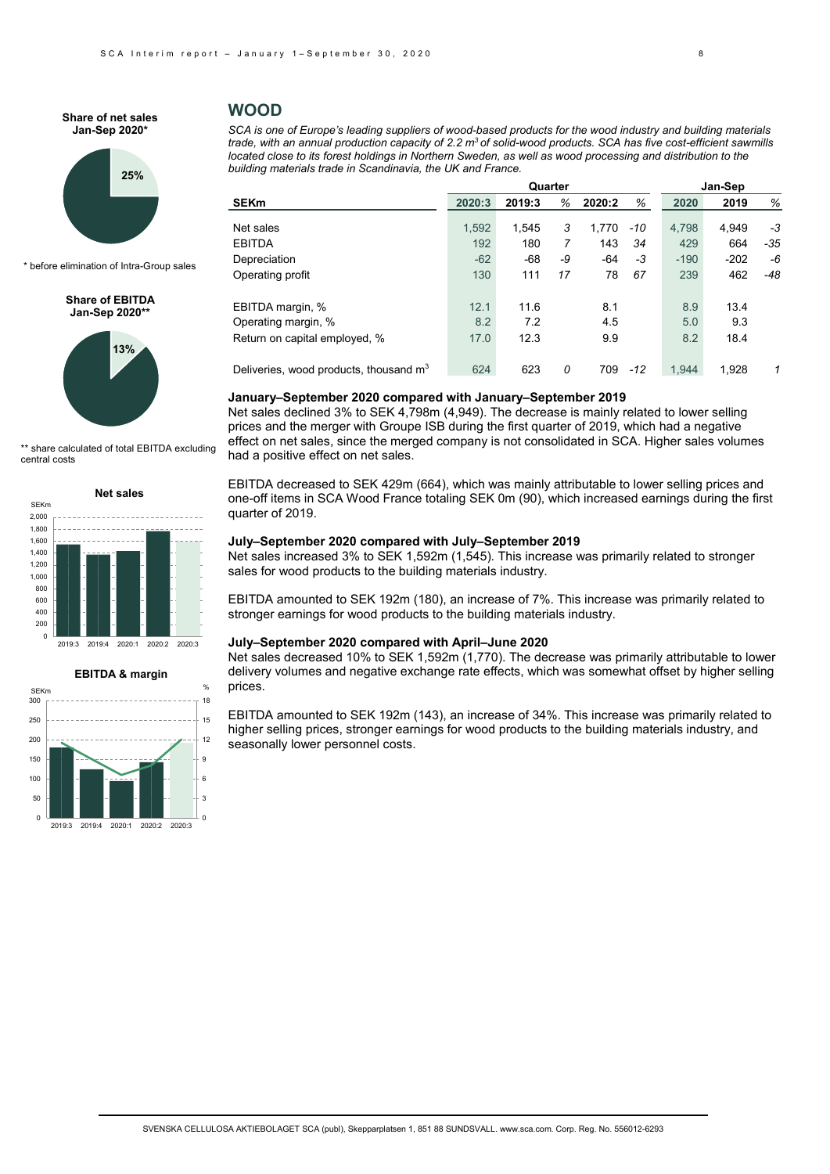#### **Share of net sales Jan-Sep 2020\***



\* before elimination of Intra-Group sales

#### **Share of EBITDA Jan-Sep 2020\*\***



\*\* share calculated of total EBITDA excluding central costs

#### **Net sales**





# **WOOD**

*SCA is one of Europe's leading suppliers of wood-based products for the wood industry and building materials*  trade, with an annual production capacity of 2.2 m<sup>3</sup> of solid-wood products. SCA has five cost-efficient sawmills *located close to its forest holdings in Northern Sweden, as well as wood processing and distribution to the building materials trade in Scandinavia, the UK and France.*

|                                          |        | Quarter |    | Jan-Sep |       |        |        |     |
|------------------------------------------|--------|---------|----|---------|-------|--------|--------|-----|
| <b>SEKm</b>                              | 2020:3 | 2019:3  | %  | 2020:2  | %     | 2020   | 2019   | %   |
| Net sales                                | 1,592  | 1.545   | 3  | 1.770   | -10   | 4,798  | 4.949  | -3  |
| <b>EBITDA</b>                            | 192    | 180     |    | 143     | 34    | 429    | 664    | -35 |
|                                          |        |         |    |         |       |        |        |     |
| Depreciation                             | $-62$  | $-68$   | -9 | $-64$   | -3    | $-190$ | $-202$ | -6  |
| Operating profit                         | 130    | 111     | 17 | 78      | 67    | 239    | 462    | -48 |
| EBITDA margin, %                         | 12.1   | 11.6    |    | 8.1     |       | 8.9    | 13.4   |     |
| Operating margin, %                      | 8.2    | 7.2     |    | 4.5     |       | 5.0    | 9.3    |     |
| Return on capital employed, %            | 17.0   | 12.3    |    | 9.9     |       | 8.2    | 18.4   |     |
| Deliveries, wood products, thousand $m3$ | 624    | 623     | 0  | 709     | $-12$ | 1.944  | 1.928  | 1   |

#### **January–September 2020 compared with January–September 2019**

Net sales declined 3% to SEK 4,798m (4,949). The decrease is mainly related to lower selling prices and the merger with Groupe ISB during the first quarter of 2019, which had a negative effect on net sales, since the merged company is not consolidated in SCA. Higher sales volumes had a positive effect on net sales.

EBITDA decreased to SEK 429m (664), which was mainly attributable to lower selling prices and one-off items in SCA Wood France totaling SEK 0m (90), which increased earnings during the first quarter of 2019.

# **July–September 2020 compared with July–September 2019**

Net sales increased 3% to SEK 1,592m (1,545). This increase was primarily related to stronger sales for wood products to the building materials industry.

EBITDA amounted to SEK 192m (180), an increase of 7%. This increase was primarily related to stronger earnings for wood products to the building materials industry.

#### **July–September 2020 compared with April–June 2020**

Net sales decreased 10% to SEK 1,592m (1,770). The decrease was primarily attributable to lower delivery volumes and negative exchange rate effects, which was somewhat offset by higher selling prices.

EBITDA amounted to SEK 192m (143), an increase of 34%. This increase was primarily related to higher selling prices, stronger earnings for wood products to the building materials industry, and seasonally lower personnel costs.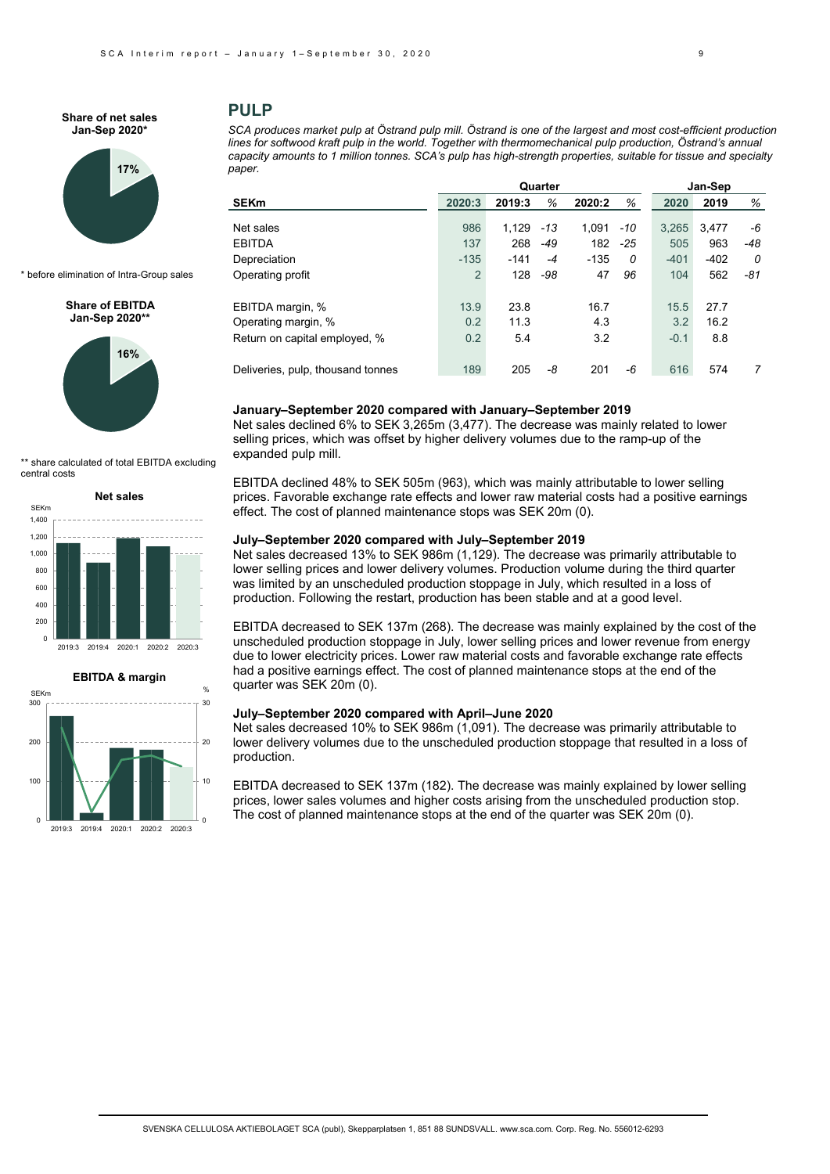#### **Share of net sales Jan-Sep 2020\***



\* before elimination of Intra-Group sales

**Share of EBITDA Jan-Sep 2020\*\***



share calculated of total EBITDA excluding central costs





2019:3 2019:4 2020:1 2020:2 2020:3

 $\overline{0}$ 

0

# **PULP**

*SCA produces market pulp at Östrand pulp mill. Östrand is one of the largest and most cost-efficient production*  lines for softwood kraft pulp in the world. Together with thermomechanical pulp production, Östrand's annual *capacity amounts to 1 million tonnes. SCA's pulp has high-strength properties, suitable for tissue and specialty paper.*

| Quarter                           |                |        |       |        |       |        | Jan-Sep |       |  |  |
|-----------------------------------|----------------|--------|-------|--------|-------|--------|---------|-------|--|--|
| <b>SEKm</b>                       | 2020:3         | 2019:3 | %     | 2020:2 | %     | 2020   | 2019    | %     |  |  |
|                                   |                |        |       |        |       |        |         |       |  |  |
| Net sales                         | 986            | 1.129  | $-13$ | 1.091  | -10   | 3.265  | 3,477   | -6    |  |  |
| <b>EBITDA</b>                     | 137            | 268    | $-49$ | 182    | $-25$ | 505    | 963     | $-48$ |  |  |
| Depreciation                      | $-135$         | $-141$ | $-4$  | $-135$ | 0     | $-401$ | $-402$  | 0     |  |  |
| Operating profit                  | $\overline{2}$ | 128    | -98   | 47     | 96    | 104    | 562     | -81   |  |  |
| EBITDA margin, %                  | 13.9           | 23.8   |       | 16.7   |       | 15.5   | 27.7    |       |  |  |
| Operating margin, %               | 0.2            | 11.3   |       | 4.3    |       | 3.2    | 16.2    |       |  |  |
| Return on capital employed, %     | 0.2            | 5.4    |       | 3.2    |       | $-0.1$ | 8.8     |       |  |  |
| Deliveries, pulp, thousand tonnes | 189            | 205    | -8    | 201    | -6    | 616    | 574     | 7     |  |  |

#### **January–September 2020 compared with January–September 2019**

Net sales declined 6% to SEK 3,265m (3,477). The decrease was mainly related to lower selling prices, which was offset by higher delivery volumes due to the ramp-up of the expanded pulp mill.

EBITDA declined 48% to SEK 505m (963), which was mainly attributable to lower selling prices. Favorable exchange rate effects and lower raw material costs had a positive earnings effect. The cost of planned maintenance stops was SEK 20m (0).

# **July–September 2020 compared with July–September 2019**

Net sales decreased 13% to SEK 986m (1,129). The decrease was primarily attributable to lower selling prices and lower delivery volumes. Production volume during the third quarter was limited by an unscheduled production stoppage in July, which resulted in a loss of production. Following the restart, production has been stable and at a good level.

EBITDA decreased to SEK 137m (268). The decrease was mainly explained by the cost of the unscheduled production stoppage in July, lower selling prices and lower revenue from energy due to lower electricity prices. Lower raw material costs and favorable exchange rate effects had a positive earnings effect. The cost of planned maintenance stops at the end of the quarter was SEK 20m (0).

### **July–September 2020 compared with April–June 2020**

Net sales decreased 10% to SEK 986m (1,091). The decrease was primarily attributable to lower delivery volumes due to the unscheduled production stoppage that resulted in a loss of production.

EBITDA decreased to SEK 137m (182). The decrease was mainly explained by lower selling prices, lower sales volumes and higher costs arising from the unscheduled production stop. The cost of planned maintenance stops at the end of the quarter was SEK 20m (0).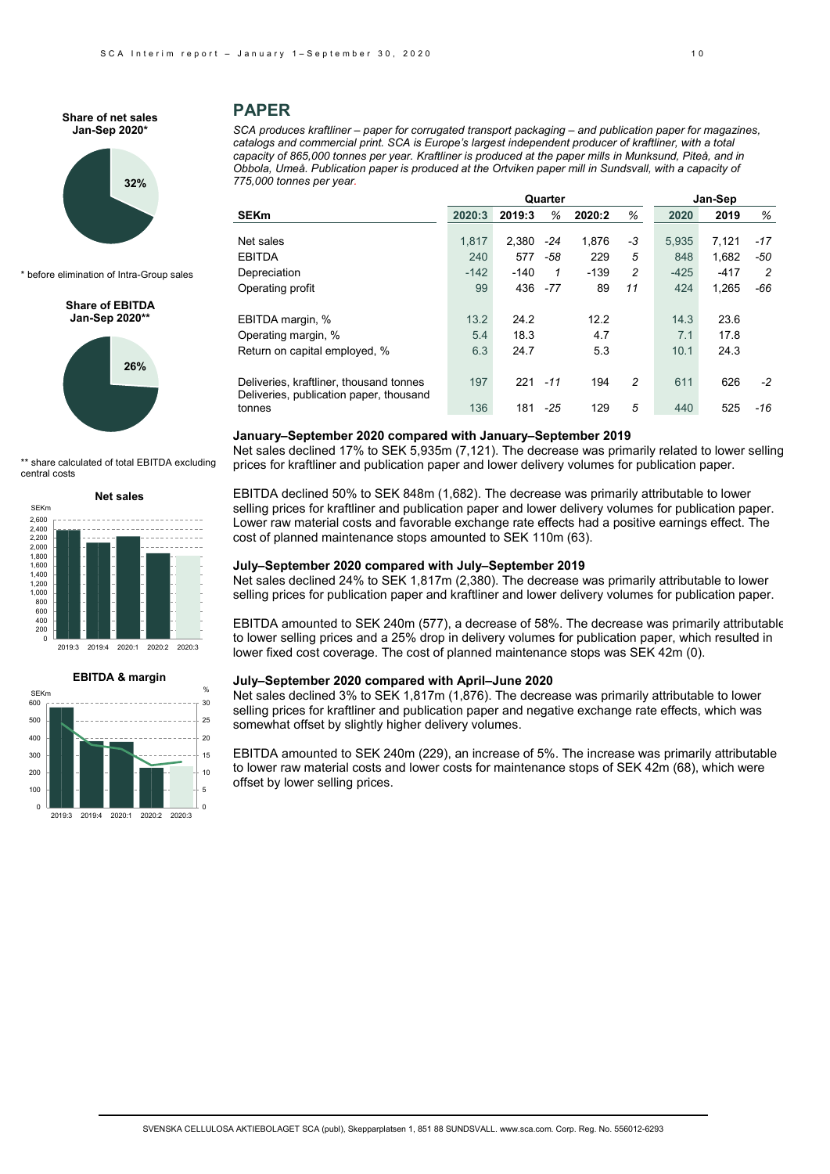#### **Share of net sales Jan-Sep 2020\***



\* before elimination of Intra-Group sales

#### **Share of EBITDA Jan-Sep 2020\*\***



share calculated of total EBITDA excluding central costs





# **PAPER**

*SCA produces kraftliner – paper for corrugated transport packaging – and publication paper for magazines, catalogs and commercial print. SCA is Europe's largest independent producer of kraftliner, with a total capacity of 865,000 tonnes per year. Kraftliner is produced at the paper mills in Munksund, Piteå, and in Obbola, Umeå. Publication paper is produced at the Ortviken paper mill in Sundsvall, with a capacity of 775,000 tonnes per year.*

|                                                                                    |        | Quarter |       | Jan-Sep |    |        |        |       |
|------------------------------------------------------------------------------------|--------|---------|-------|---------|----|--------|--------|-------|
| <b>SEKm</b>                                                                        | 2020:3 | 2019:3  | %     | 2020:2  | %  | 2020   | 2019   | %     |
| Net sales                                                                          | 1.817  | 2,380   | $-24$ | 1,876   | -3 | 5.935  | 7,121  | $-17$ |
| <b>EBITDA</b>                                                                      | 240    | 577     | -58   | 229     | 5  | 848    | 1,682  | -50   |
| Depreciation                                                                       | $-142$ | $-140$  | 1     | $-139$  | 2  | $-425$ | $-417$ | 2     |
| Operating profit                                                                   | 99     | 436     | $-77$ | 89      | 11 | 424    | 1,265  | -66   |
| EBITDA margin, %                                                                   | 13.2   | 24.2    |       | 12.2    |    | 14.3   | 23.6   |       |
| Operating margin, %                                                                | 5.4    | 18.3    |       | 4.7     |    | 7.1    | 17.8   |       |
| Return on capital employed, %                                                      | 6.3    | 24.7    |       | 5.3     |    | 10.1   | 24.3   |       |
| Deliveries, kraftliner, thousand tonnes<br>Deliveries, publication paper, thousand | 197    | 221     | $-11$ | 194     | 2  | 611    | 626    | $-2$  |
| tonnes                                                                             | 136    | 181     | $-25$ | 129     | 5  | 440    | 525    | $-16$ |

# **January–September 2020 compared with January–September 2019**

Net sales declined 17% to SEK 5,935m (7,121). The decrease was primarily related to lower selling prices for kraftliner and publication paper and lower delivery volumes for publication paper.

EBITDA declined 50% to SEK 848m (1,682). The decrease was primarily attributable to lower selling prices for kraftliner and publication paper and lower delivery volumes for publication paper. Lower raw material costs and favorable exchange rate effects had a positive earnings effect. The cost of planned maintenance stops amounted to SEK 110m (63).

#### **July–September 2020 compared with July–September 2019**

Net sales declined 24% to SEK 1,817m (2,380). The decrease was primarily attributable to lower selling prices for publication paper and kraftliner and lower delivery volumes for publication paper.

EBITDA amounted to SEK 240m (577), a decrease of 58%. The decrease was primarily attributable to lower selling prices and a 25% drop in delivery volumes for publication paper, which resulted in lower fixed cost coverage. The cost of planned maintenance stops was SEK 42m (0).

# **July–September 2020 compared with April–June 2020**

Net sales declined 3% to SEK 1,817m (1,876). The decrease was primarily attributable to lower selling prices for kraftliner and publication paper and negative exchange rate effects, which was somewhat offset by slightly higher delivery volumes.

EBITDA amounted to SEK 240m (229), an increase of 5%. The increase was primarily attributable to lower raw material costs and lower costs for maintenance stops of SEK 42m (68), which were offset by lower selling prices.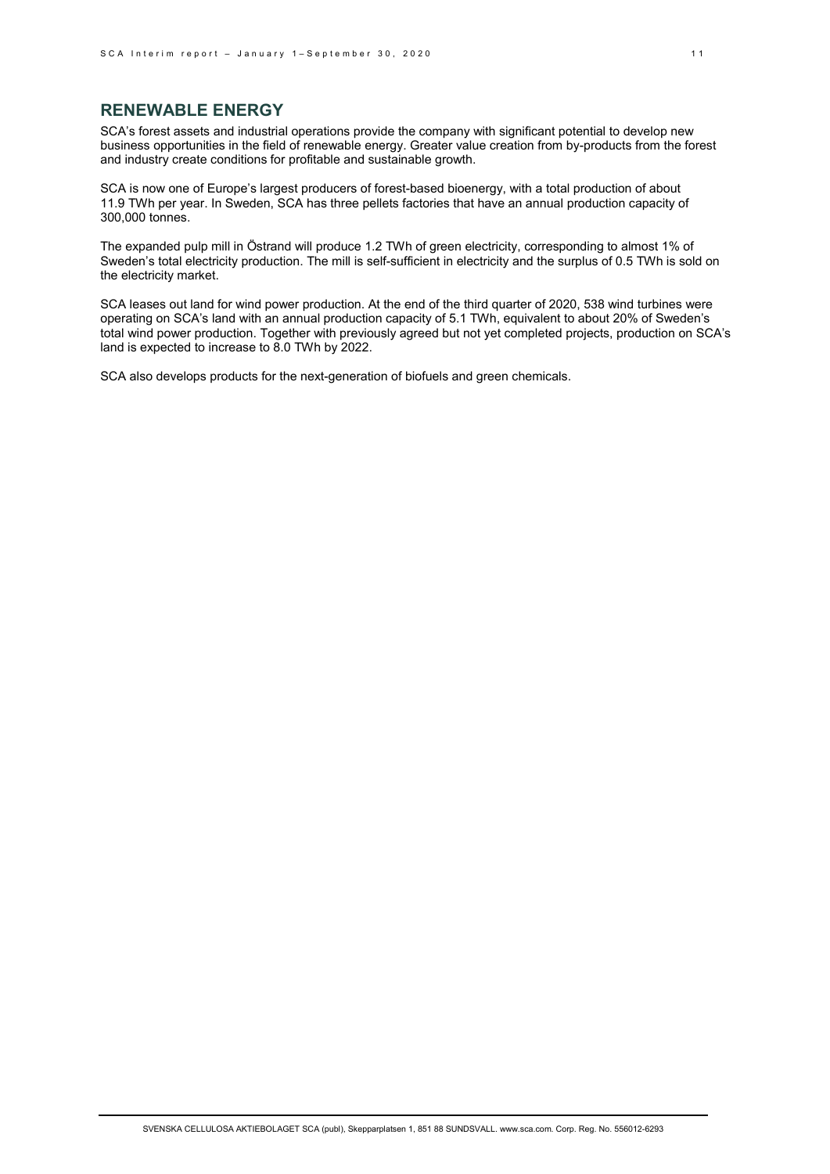# **RENEWABLE ENERGY**

SCA's forest assets and industrial operations provide the company with significant potential to develop new business opportunities in the field of renewable energy. Greater value creation from by-products from the forest and industry create conditions for profitable and sustainable growth.

SCA is now one of Europe's largest producers of forest-based bioenergy, with a total production of about 11.9 TWh per year. In Sweden, SCA has three pellets factories that have an annual production capacity of 300,000 tonnes.

The expanded pulp mill in Östrand will produce 1.2 TWh of green electricity, corresponding to almost 1% of Sweden's total electricity production. The mill is self-sufficient in electricity and the surplus of 0.5 TWh is sold on the electricity market.

SCA leases out land for wind power production. At the end of the third quarter of 2020, 538 wind turbines were operating on SCA's land with an annual production capacity of 5.1 TWh, equivalent to about 20% of Sweden's total wind power production. Together with previously agreed but not yet completed projects, production on SCA's land is expected to increase to 8.0 TWh by 2022.

SCA also develops products for the next-generation of biofuels and green chemicals.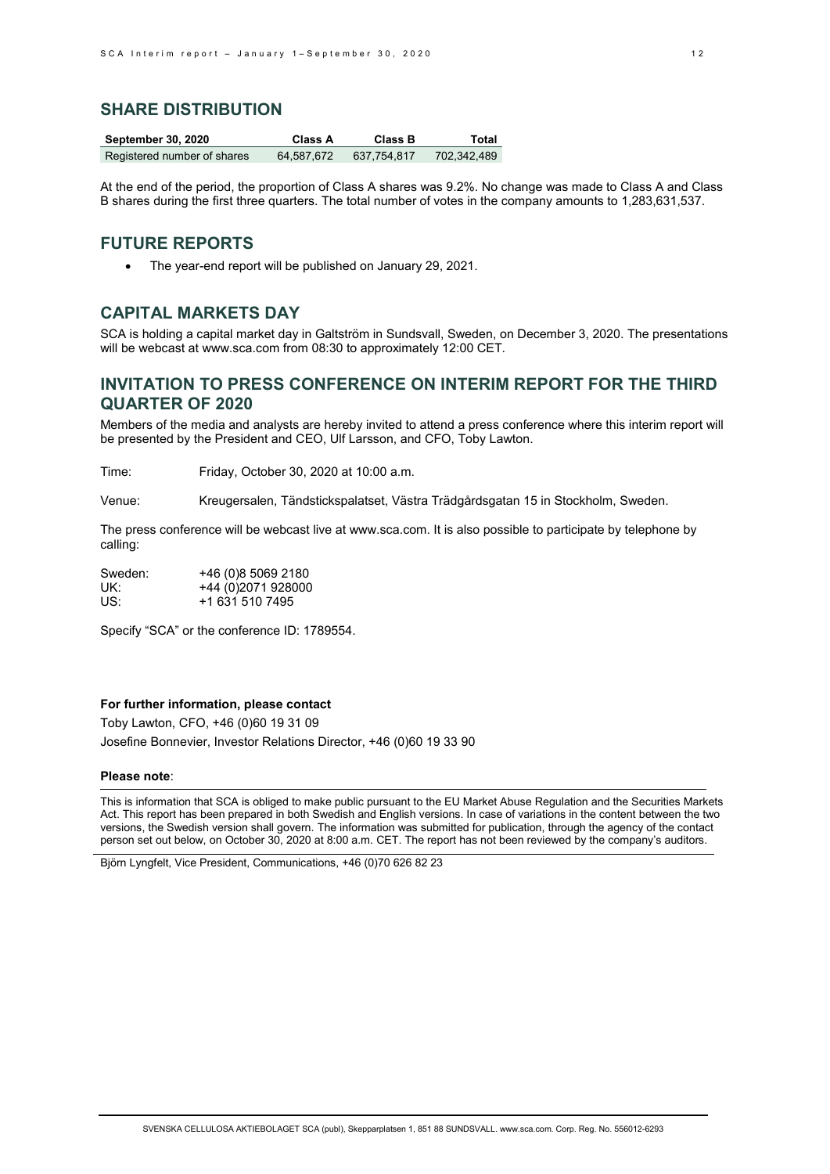# **SHARE DISTRIBUTION**

| <b>September 30, 2020</b>   | Class A    | Class B     | Total       |
|-----------------------------|------------|-------------|-------------|
| Registered number of shares | 64.587.672 | 637.754.817 | 702,342,489 |

At the end of the period, the proportion of Class A shares was 9.2%. No change was made to Class A and Class B shares during the first three quarters. The total number of votes in the company amounts to 1,283,631,537.

# **FUTURE REPORTS**

• The year-end report will be published on January 29, 2021.

# **CAPITAL MARKETS DAY**

SCA is holding a capital market day in Galtström in Sundsvall, Sweden, on December 3, 2020. The presentations will be webcast at [www.sca.com](http://www.sca.com/) from 08:30 to approximately 12:00 CET.

# **INVITATION TO PRESS CONFERENCE ON INTERIM REPORT FOR THE THIRD QUARTER OF 2020**

Members of the media and analysts are hereby invited to attend a press conference where this interim report will be presented by the President and CEO, Ulf Larsson, and CFO, Toby Lawton.

Time: Friday, October 30, 2020 at 10:00 a.m.

Venue: Kreugersalen, Tändstickspalatset, Västra Trädgårdsgatan 15 in Stockholm, Sweden.

The press conference will be webcast live a[t www.sca.com.](http://www.sca.com/) It is also possible to participate by telephone by calling:

| Sweden: | +46 (0)8 5069 2180 |
|---------|--------------------|
| UK:     | +44 (0)2071 928000 |
| US:     | +1 631 510 7495    |

Specify "SCA" or the conference ID: 1789554.

#### **For further information, please contact**

Toby Lawton, CFO, +46 (0)60 19 31 09 Josefine Bonnevier, Investor Relations Director, +46 (0)60 19 33 90

#### **Please note**:

This is information that SCA is obliged to make public pursuant to the EU Market Abuse Regulation and the Securities Markets Act. This report has been prepared in both Swedish and English versions. In case of variations in the content between the two versions, the Swedish version shall govern. The information was submitted for publication, through the agency of the contact person set out below, on October 30, 2020 at 8:00 a.m. CET. The report has not been reviewed by the company's auditors.

Björn Lyngfelt, Vice President, Communications, +46 (0)70 626 82 23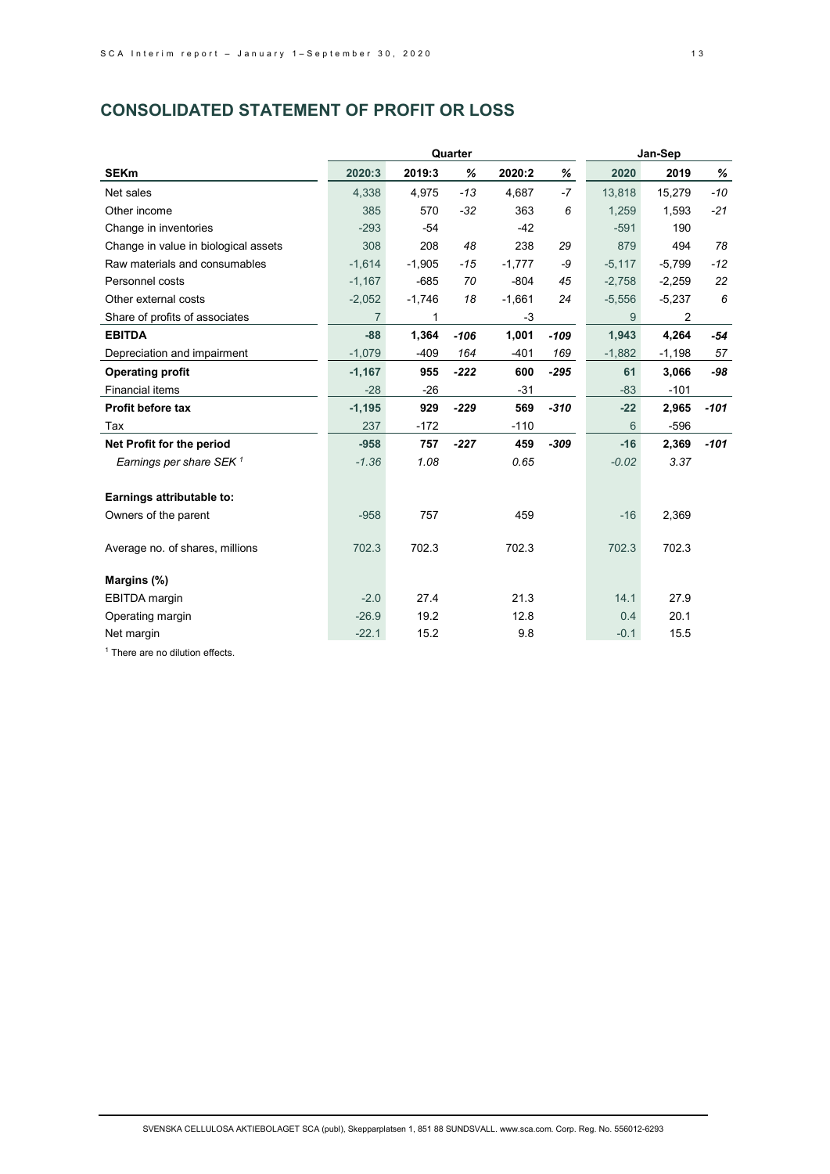# **CONSOLIDATED STATEMENT OF PROFIT OR LOSS**

|                                      |          | Quarter  | Jan-Sep |          |        |          |          |        |
|--------------------------------------|----------|----------|---------|----------|--------|----------|----------|--------|
| <b>SEKm</b>                          | 2020:3   | 2019:3   | %       | 2020:2   | ℅      | 2020     | 2019     | $\%$   |
| Net sales                            | 4,338    | 4,975    | $-13$   | 4,687    | $-7$   | 13,818   | 15,279   | $-10$  |
| Other income                         | 385      | 570      | $-32$   | 363      | 6      | 1,259    | 1,593    | $-21$  |
| Change in inventories                | $-293$   | $-54$    |         | $-42$    |        | $-591$   | 190      |        |
| Change in value in biological assets | 308      | 208      | 48      | 238      | 29     | 879      | 494      | 78     |
| Raw materials and consumables        | $-1.614$ | $-1.905$ | $-15$   | $-1,777$ | -9     | $-5,117$ | $-5.799$ | $-12$  |
| Personnel costs                      | $-1,167$ | $-685$   | 70      | $-804$   | 45     | $-2,758$ | $-2,259$ | 22     |
| Other external costs                 | $-2,052$ | $-1,746$ | 18      | $-1,661$ | 24     | $-5,556$ | $-5,237$ | 6      |
| Share of profits of associates       | 7        | 1        |         | -3       |        | 9        | 2        |        |
| <b>EBITDA</b>                        | $-88$    | 1.364    | $-106$  | 1,001    | $-109$ | 1.943    | 4,264    | $-54$  |
| Depreciation and impairment          | $-1,079$ | $-409$   | 164     | $-401$   | 169    | $-1,882$ | $-1,198$ | 57     |
| <b>Operating profit</b>              | $-1,167$ | 955      | $-222$  | 600      | $-295$ | 61       | 3,066    | -98    |
| <b>Financial items</b>               | $-28$    | $-26$    |         | $-31$    |        | $-83$    | $-101$   |        |
| Profit before tax                    | $-1,195$ | 929      | $-229$  | 569      | $-310$ | $-22$    | 2,965    | $-101$ |
| Tax                                  | 237      | $-172$   |         | $-110$   |        | 6        | $-596$   |        |
| Net Profit for the period            | $-958$   | 757      | $-227$  | 459      | $-309$ | $-16$    | 2,369    | $-101$ |
| Earnings per share SEK $^1$          | $-1.36$  | 1.08     |         | 0.65     |        | $-0.02$  | 3.37     |        |
|                                      |          |          |         |          |        |          |          |        |
| Earnings attributable to:            |          |          |         |          |        |          |          |        |
| Owners of the parent                 | $-958$   | 757      |         | 459      |        | $-16$    | 2,369    |        |
|                                      |          |          |         |          |        |          |          |        |
| Average no. of shares, millions      | 702.3    | 702.3    |         | 702.3    |        | 702.3    | 702.3    |        |
|                                      |          |          |         |          |        |          |          |        |
| Margins (%)                          |          |          |         |          |        |          |          |        |
| <b>EBITDA</b> margin                 | $-2.0$   | 27.4     |         | 21.3     |        | 14.1     | 27.9     |        |
| Operating margin                     | $-26.9$  | 19.2     |         | 12.8     |        | 0.4      | 20.1     |        |
| Net margin                           | $-22.1$  | 15.2     |         | 9.8      |        | $-0.1$   | 15.5     |        |

<sup>1</sup> There are no dilution effects.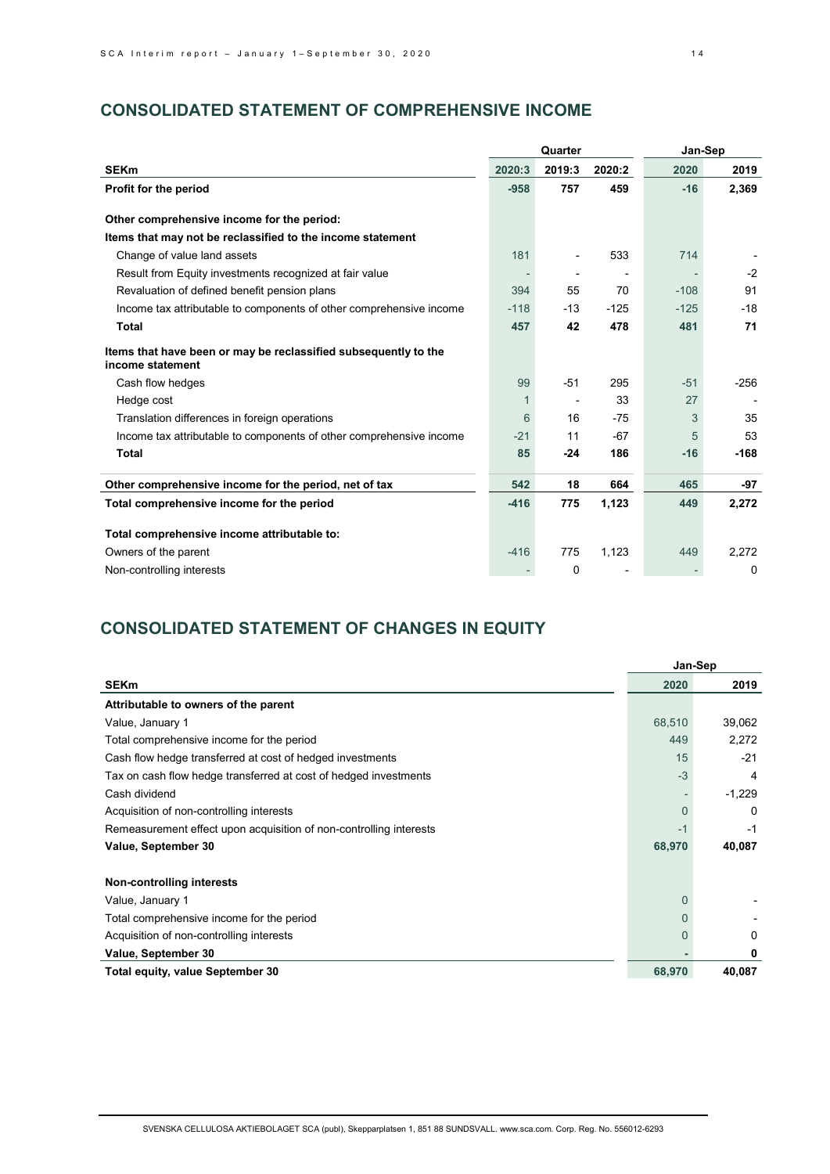# **CONSOLIDATED STATEMENT OF COMPREHENSIVE INCOME**

|                                                                                     |        |        |        | Jan-Sep |        |  |
|-------------------------------------------------------------------------------------|--------|--------|--------|---------|--------|--|
| <b>SEKm</b>                                                                         | 2020:3 | 2019:3 | 2020:2 | 2020    | 2019   |  |
| Profit for the period                                                               | $-958$ | 757    | 459    | $-16$   | 2,369  |  |
| Other comprehensive income for the period:                                          |        |        |        |         |        |  |
| Items that may not be reclassified to the income statement                          |        |        |        |         |        |  |
| Change of value land assets                                                         | 181    |        | 533    | 714     |        |  |
| Result from Equity investments recognized at fair value                             |        |        |        |         | $-2$   |  |
| Revaluation of defined benefit pension plans                                        | 394    | 55     | 70     | $-108$  | 91     |  |
| Income tax attributable to components of other comprehensive income                 | $-118$ | $-13$  | $-125$ | $-125$  | $-18$  |  |
| <b>Total</b>                                                                        | 457    | 42     | 478    | 481     | 71     |  |
| Items that have been or may be reclassified subsequently to the<br>income statement |        |        |        |         |        |  |
| Cash flow hedges                                                                    | 99     | $-51$  | 295    | $-51$   | $-256$ |  |
| Hedge cost                                                                          | 1      |        | 33     | 27      |        |  |
| Translation differences in foreign operations                                       | 6      | 16     | $-75$  | 3       | 35     |  |
| Income tax attributable to components of other comprehensive income                 | $-21$  | 11     | $-67$  | 5       | 53     |  |
| <b>Total</b>                                                                        | 85     | -24    | 186    | $-16$   | $-168$ |  |
| Other comprehensive income for the period, net of tax                               | 542    | 18     | 664    | 465     | -97    |  |
| Total comprehensive income for the period                                           | $-416$ | 775    | 1,123  | 449     | 2,272  |  |
| Total comprehensive income attributable to:                                         |        |        |        |         |        |  |
| Owners of the parent                                                                | $-416$ | 775    | 1,123  | 449     | 2,272  |  |
| Non-controlling interests                                                           |        | 0      |        |         | 0      |  |

# **CONSOLIDATED STATEMENT OF CHANGES IN EQUITY**

|                                                                    |          | Jan-Sep  |
|--------------------------------------------------------------------|----------|----------|
| <b>SEKm</b>                                                        | 2020     | 2019     |
| Attributable to owners of the parent                               |          |          |
| Value, January 1                                                   | 68,510   | 39,062   |
| Total comprehensive income for the period                          | 449      | 2,272    |
| Cash flow hedge transferred at cost of hedged investments          | 15       | $-21$    |
| Tax on cash flow hedge transferred at cost of hedged investments   | $-3$     | 4        |
| Cash dividend                                                      |          | $-1,229$ |
| Acquisition of non-controlling interests                           | 0        | $\Omega$ |
| Remeasurement effect upon acquisition of non-controlling interests | -1       | $-1$     |
| Value, September 30                                                | 68,970   | 40,087   |
| Non-controlling interests                                          |          |          |
| Value, January 1                                                   | $\Omega$ |          |
| Total comprehensive income for the period                          |          |          |
| Acquisition of non-controlling interests                           | 0        | 0        |
| Value, September 30                                                |          | 0        |
| <b>Total equity, value September 30</b>                            | 68,970   | 40,087   |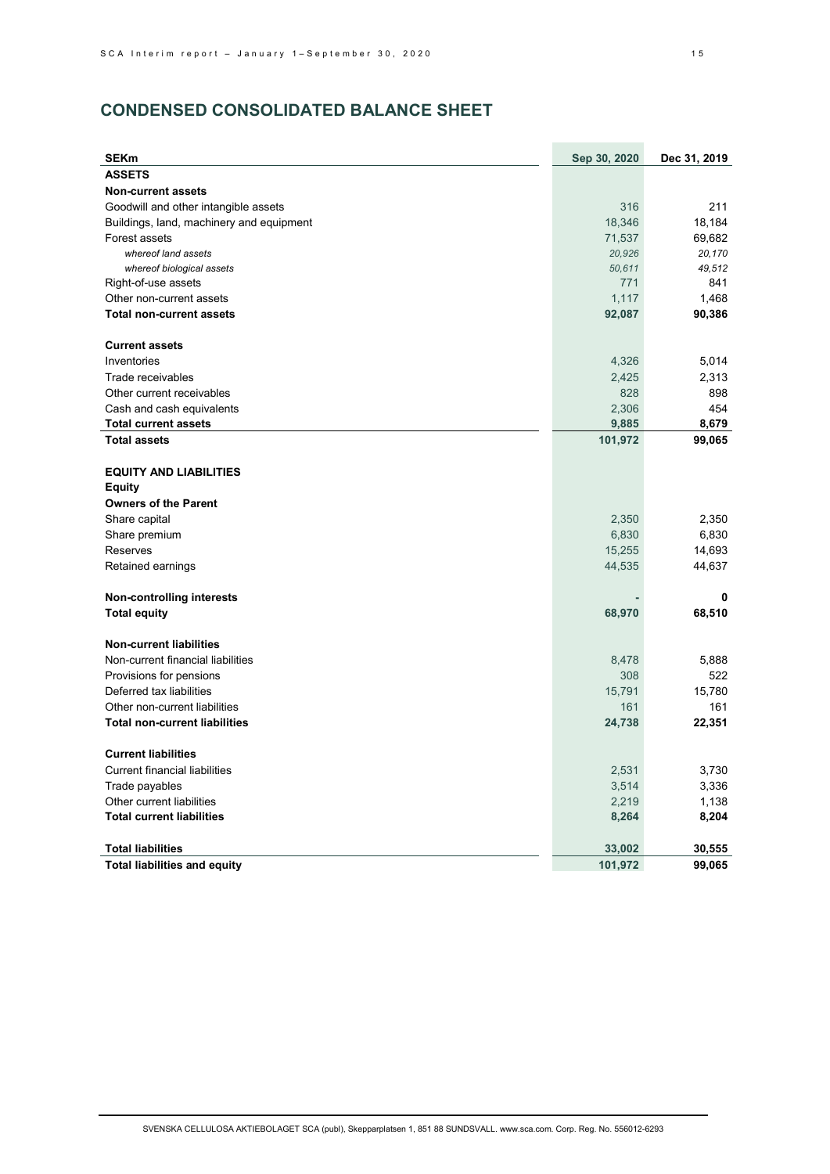# **CONDENSED CONSOLIDATED BALANCE SHEET**

| <b>SEKm</b>                                 | Sep 30, 2020 | Dec 31, 2019 |
|---------------------------------------------|--------------|--------------|
| <b>ASSETS</b>                               |              |              |
| <b>Non-current assets</b>                   |              |              |
| Goodwill and other intangible assets        | 316          | 211          |
| Buildings, land, machinery and equipment    | 18,346       | 18,184       |
| Forest assets                               | 71,537       | 69,682       |
| whereof land assets                         | 20,926       | 20,170       |
| whereof biological assets                   | 50,611       | 49,512       |
| Right-of-use assets                         | 771          | 841          |
| Other non-current assets                    | 1,117        | 1,468        |
| <b>Total non-current assets</b>             | 92,087       | 90,386       |
| <b>Current assets</b>                       |              |              |
| Inventories                                 | 4,326        | 5,014        |
| Trade receivables                           | 2,425        | 2,313        |
| Other current receivables                   | 828          | 898          |
| Cash and cash equivalents                   | 2,306        | 454          |
| <b>Total current assets</b>                 | 9,885        | 8,679        |
| <b>Total assets</b>                         | 101,972      | 99,065       |
| <b>EQUITY AND LIABILITIES</b>               |              |              |
| <b>Equity</b>                               |              |              |
| <b>Owners of the Parent</b>                 |              |              |
| Share capital                               | 2,350        | 2,350        |
| Share premium                               | 6,830        | 6,830        |
| Reserves                                    | 15,255       | 14,693       |
| Retained earnings                           | 44,535       | 44,637       |
|                                             |              |              |
| <b>Non-controlling interests</b>            |              | 0            |
| <b>Total equity</b>                         | 68,970       | 68,510       |
| <b>Non-current liabilities</b>              |              |              |
| Non-current financial liabilities           | 8,478        | 5,888        |
| Provisions for pensions                     | 308          | 522          |
| Deferred tax liabilities                    | 15,791       | 15,780       |
| Other non-current liabilities               | 161          | 161          |
| <b>Total non-current liabilities</b>        | 24,738       | 22,351       |
| <b>Current liabilities</b>                  |              |              |
|                                             |              |              |
| <b>Current financial liabilities</b>        | 2,531        | 3,730        |
| Trade payables<br>Other current liabilities | 3,514        | 3,336        |
| <b>Total current liabilities</b>            | 2,219        | 1,138        |
|                                             | 8,264        | 8,204        |
| <b>Total liabilities</b>                    | 33,002       | 30,555       |
| <b>Total liabilities and equity</b>         | 101,972      | 99,065       |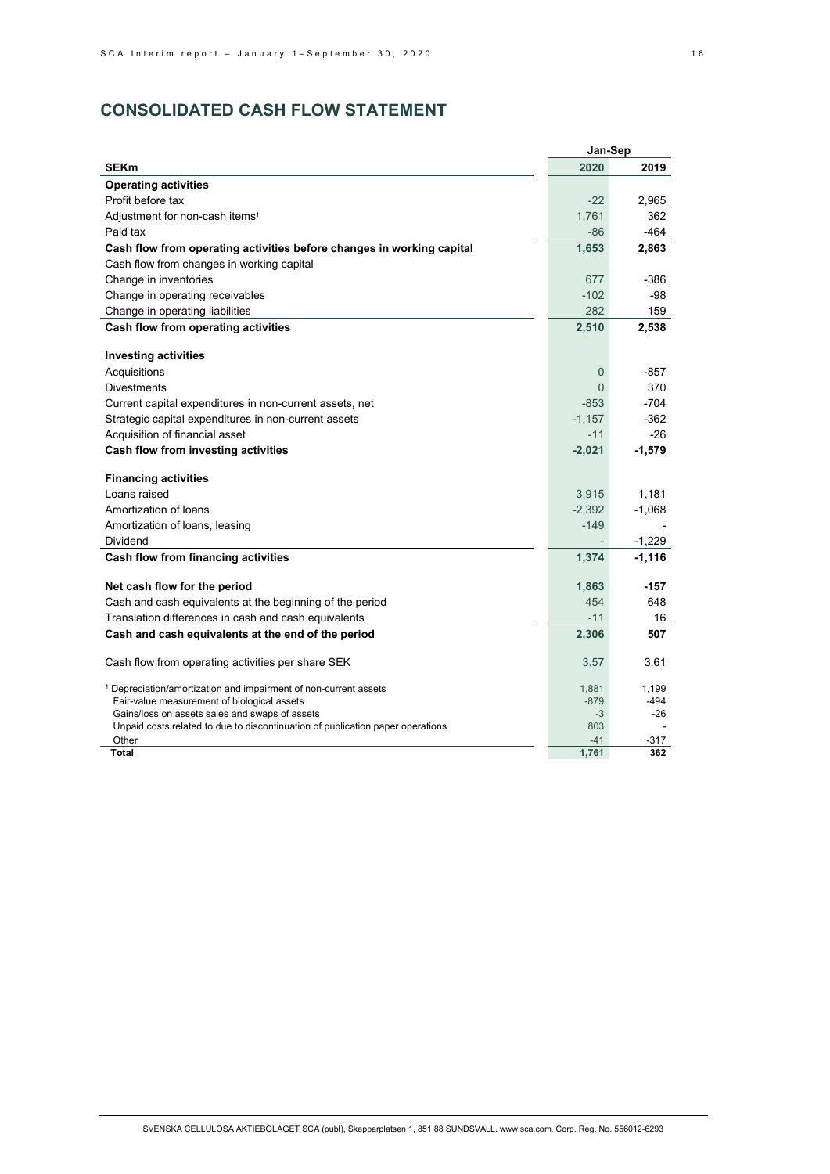# **CONSOLIDATED CASH FLOW STATEMENT**

|                                                                                         | Jan-Sep        |          |
|-----------------------------------------------------------------------------------------|----------------|----------|
| <b>SEKm</b>                                                                             | 2020           | 2019     |
| <b>Operating activities</b>                                                             |                |          |
| Profit before tax                                                                       | $-22$          | 2,965    |
| Adjustment for non-cash items <sup>1</sup>                                              | 1,761          | 362      |
| Paid tax                                                                                | $-86$          | $-464$   |
| Cash flow from operating activities before changes in working capital                   | 1,653          | 2,863    |
| Cash flow from changes in working capital                                               |                |          |
| Change in inventories                                                                   | 677            | -386     |
| Change in operating receivables                                                         | $-102$         | -98      |
| Change in operating liabilities                                                         | 282            | 159      |
| Cash flow from operating activities                                                     | 2,510          | 2,538    |
| <b>Investing activities</b>                                                             |                |          |
| Acquisitions                                                                            | $\overline{0}$ | -857     |
| <b>Divestments</b>                                                                      | $\Omega$       | 370      |
| Current capital expenditures in non-current assets, net                                 | $-853$         | $-704$   |
| Strategic capital expenditures in non-current assets                                    | $-1,157$       | $-362$   |
| Acquisition of financial asset                                                          | $-11$          | $-26$    |
| Cash flow from investing activities                                                     | $-2,021$       | $-1,579$ |
|                                                                                         |                |          |
| <b>Financing activities</b>                                                             |                |          |
| Loans raised                                                                            | 3,915          | 1,181    |
| Amortization of loans                                                                   | $-2,392$       | $-1,068$ |
| Amortization of loans, leasing                                                          | $-149$         |          |
| <b>Dividend</b>                                                                         |                | $-1,229$ |
| Cash flow from financing activities                                                     | 1,374          | $-1,116$ |
| Net cash flow for the period                                                            | 1,863          | -157     |
| Cash and cash equivalents at the beginning of the period                                | 454            | 648      |
| Translation differences in cash and cash equivalents                                    | -11            | 16       |
| Cash and cash equivalents at the end of the period                                      | 2,306          | 507      |
|                                                                                         |                |          |
| Cash flow from operating activities per share SEK                                       | 3.57           | 3.61     |
| <sup>1</sup> Depreciation/amortization and impairment of non-current assets             | 1,881          | 1,199    |
| Fair-value measurement of biological assets                                             | $-879$         | -494     |
| Gains/loss on assets sales and swaps of assets                                          | $-3$           | $-26$    |
| Unpaid costs related to due to discontinuation of publication paper operations<br>Other | 803<br>$-41$   | $-317$   |
| Total                                                                                   | 1,761          | 362      |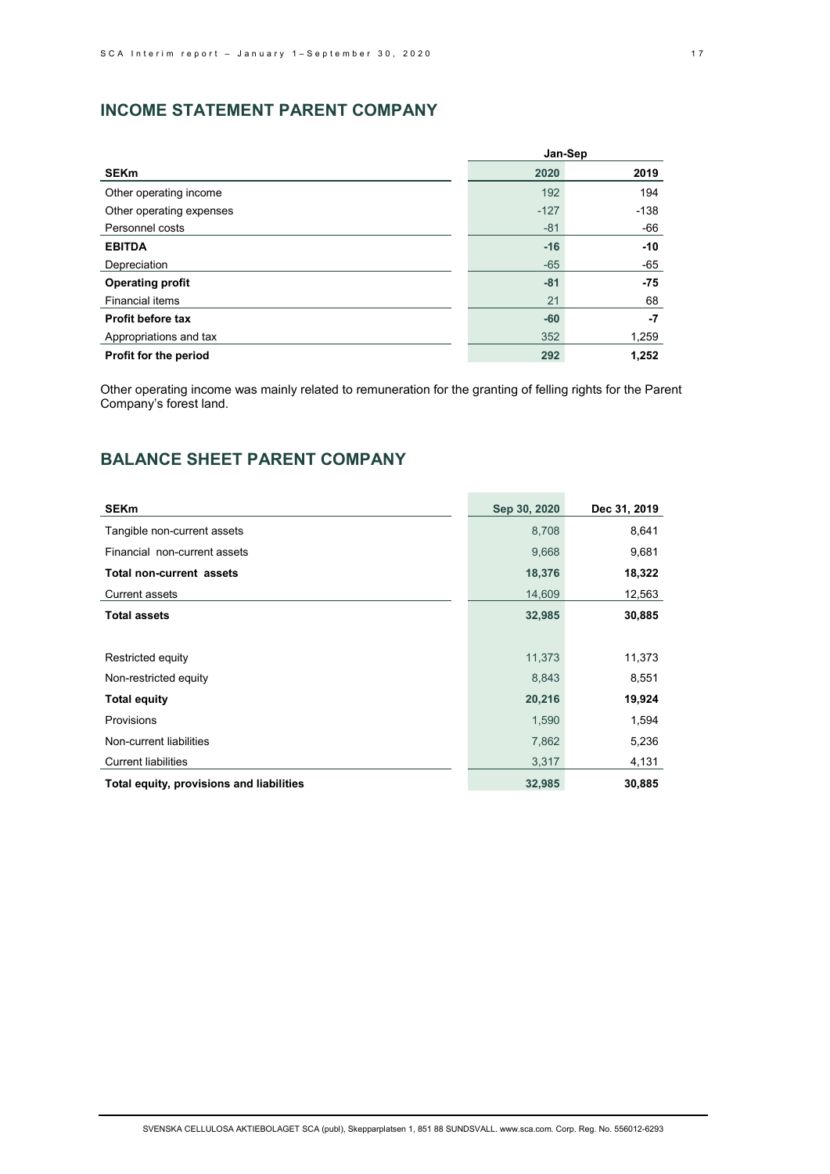# **INCOME STATEMENT PARENT COMPANY**

|                          |        | Jan-Sep |
|--------------------------|--------|---------|
| <b>SEKm</b>              | 2020   | 2019    |
| Other operating income   | 192    | 194     |
| Other operating expenses | $-127$ | $-138$  |
| Personnel costs          | $-81$  | -66     |
| <b>EBITDA</b>            | $-16$  | $-10$   |
| Depreciation             | $-65$  | -65     |
| <b>Operating profit</b>  | $-81$  | $-75$   |
| Financial items          | 21     | 68      |
| Profit before tax        | $-60$  | $-7$    |
| Appropriations and tax   | 352    | 1,259   |
| Profit for the period    | 292    | 1,252   |

Other operating income was mainly related to remuneration for the granting of felling rights for the Parent Company's forest land.

# **BALANCE SHEET PARENT COMPANY**

| <b>SEKm</b>                              | Sep 30, 2020 | Dec 31, 2019 |
|------------------------------------------|--------------|--------------|
| Tangible non-current assets              | 8,708        | 8,641        |
| Financial non-current assets             | 9,668        | 9,681        |
| <b>Total non-current assets</b>          | 18,376       | 18,322       |
| <b>Current assets</b>                    | 14,609       | 12,563       |
| <b>Total assets</b>                      | 32,985       | 30,885       |
|                                          |              |              |
| Restricted equity                        | 11,373       | 11,373       |
| Non-restricted equity                    | 8,843        | 8,551        |
| <b>Total equity</b>                      | 20,216       | 19,924       |
| Provisions                               | 1,590        | 1,594        |
| Non-current liabilities                  | 7,862        | 5,236        |
| <b>Current liabilities</b>               | 3,317        | 4,131        |
| Total equity, provisions and liabilities | 32,985       | 30,885       |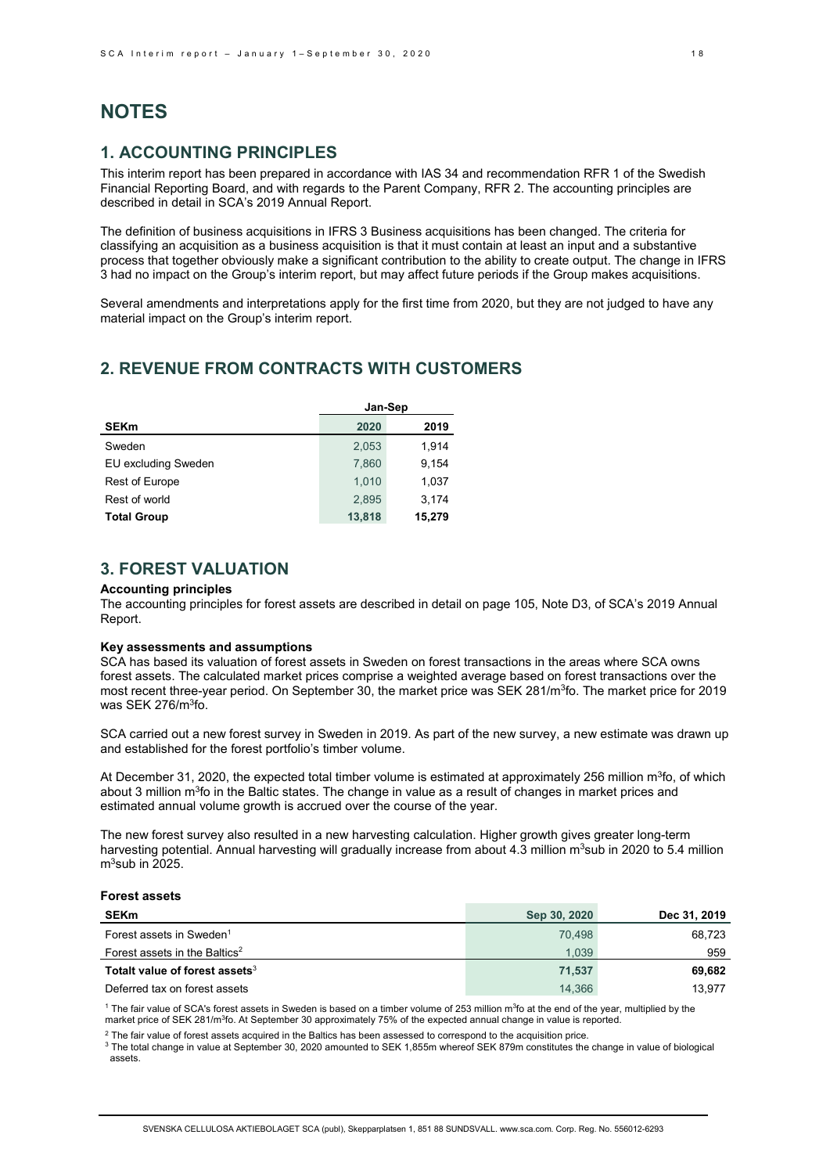# **NOTES**

# **1. ACCOUNTING PRINCIPLES**

This interim report has been prepared in accordance with IAS 34 and recommendation RFR 1 of the Swedish Financial Reporting Board, and with regards to the Parent Company, RFR 2. The accounting principles are described in detail in SCA's 2019 Annual Report.

The definition of business acquisitions in IFRS 3 Business acquisitions has been changed. The criteria for classifying an acquisition as a business acquisition is that it must contain at least an input and a substantive process that together obviously make a significant contribution to the ability to create output. The change in IFRS 3 had no impact on the Group's interim report, but may affect future periods if the Group makes acquisitions.

Several amendments and interpretations apply for the first time from 2020, but they are not judged to have any material impact on the Group's interim report.

# **2. REVENUE FROM CONTRACTS WITH CUSTOMERS**

|                       | Jan-Sep |        |  |
|-----------------------|---------|--------|--|
| <b>SEKm</b>           | 2020    | 2019   |  |
| Sweden                | 2,053   | 1,914  |  |
| EU excluding Sweden   | 7,860   | 9.154  |  |
| <b>Rest of Europe</b> | 1.010   | 1,037  |  |
| Rest of world         | 2.895   | 3.174  |  |
| <b>Total Group</b>    | 13,818  | 15,279 |  |

# **3. FOREST VALUATION**

### **Accounting principles**

The accounting principles for forest assets are described in detail on page 105, Note D3, of SCA's 2019 Annual Report.

# **Key assessments and assumptions**

SCA has based its valuation of forest assets in Sweden on forest transactions in the areas where SCA owns forest assets. The calculated market prices comprise a weighted average based on forest transactions over the most recent three-year period. On September 30, the market price was SEK 281/m<sup>3</sup>fo. The market price for 2019 was SEK 276/m<sup>3</sup>fo.

SCA carried out a new forest survey in Sweden in 2019. As part of the new survey, a new estimate was drawn up and established for the forest portfolio's timber volume.

At December 31, 2020, the expected total timber volume is estimated at approximately 256 million m<sup>3</sup>fo, of which about 3 million m<sup>3</sup>fo in the Baltic states. The change in value as a result of changes in market prices and estimated annual volume growth is accrued over the course of the year.

The new forest survey also resulted in a new harvesting calculation. Higher growth gives greater long-term harvesting potential. Annual harvesting will gradually increase from about 4.3 million  $m^3$ sub in 2020 to 5.4 million  $m<sup>3</sup>$ sub in 2025.

#### **Forest assets**

| <b>SEKm</b>                                | Sep 30, 2020 | Dec 31, 2019 |
|--------------------------------------------|--------------|--------------|
| Forest assets in Sweden <sup>1</sup>       | 70.498       | 68.723       |
| Forest assets in the Baltics <sup>2</sup>  | 1.039        | 959          |
| Totalt value of forest assets <sup>3</sup> | 71,537       | 69.682       |
| Deferred tax on forest assets              | 14.366       | 13.977       |

<sup>1</sup> The fair value of SCA's forest assets in Sweden is based on a timber volume of 253 million m<sup>3</sup>fo at the end of the year, multiplied by the market price of SEK 281/m<sup>3</sup>fo. At September 30 approximately 75% of the expected annual change in value is reported.

 $2$  The fair value of forest assets acquired in the Baltics has been assessed to correspond to the acquisition price.

<sup>3</sup> The total change in value at September 30, 2020 amounted to SEK 1,855m whereof SEK 879m constitutes the change in value of biological xassets.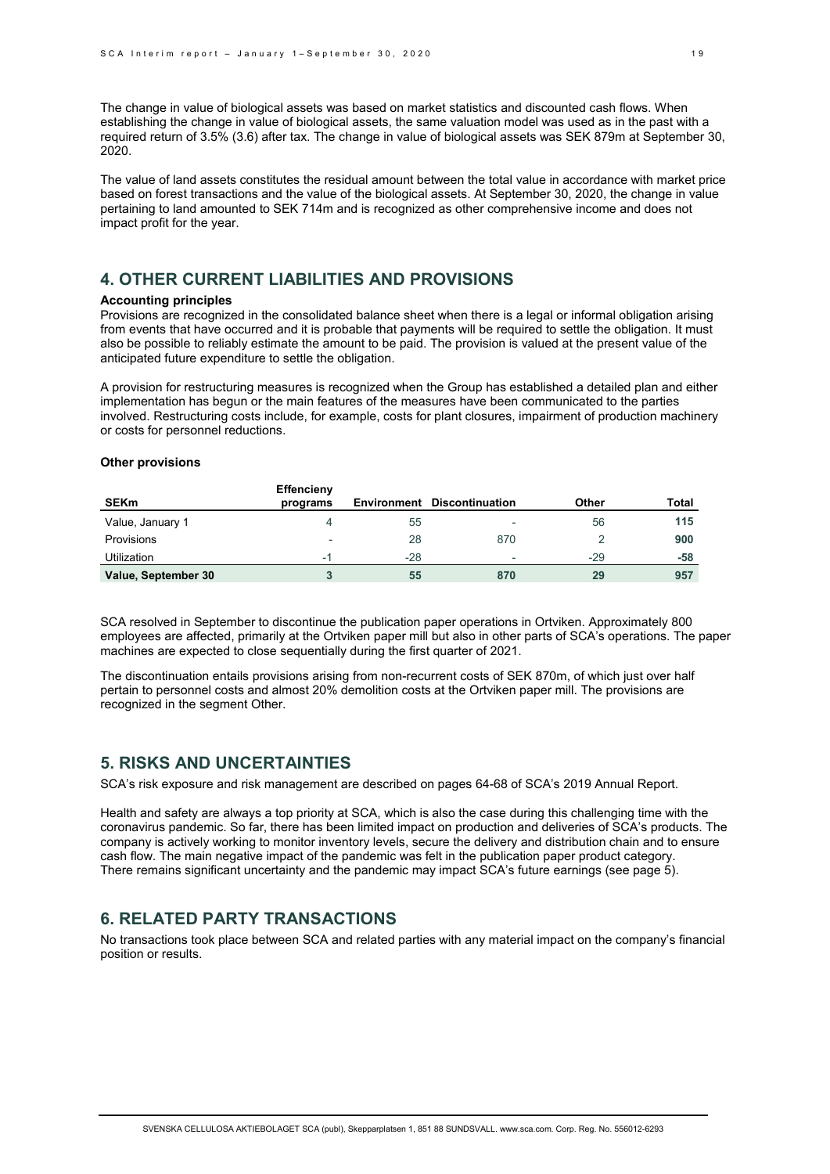The change in value of biological assets was based on market statistics and discounted cash flows. When establishing the change in value of biological assets, the same valuation model was used as in the past with a required return of 3.5% (3.6) after tax. The change in value of biological assets was SEK 879m at September 30, 2020.

The value of land assets constitutes the residual amount between the total value in accordance with market price based on forest transactions and the value of the biological assets. At September 30, 2020, the change in value pertaining to land amounted to SEK 714m and is recognized as other comprehensive income and does not impact profit for the year.

# **4. OTHER CURRENT LIABILITIES AND PROVISIONS**

#### **Accounting principles**

Provisions are recognized in the consolidated balance sheet when there is a legal or informal obligation arising from events that have occurred and it is probable that payments will be required to settle the obligation. It must also be possible to reliably estimate the amount to be paid. The provision is valued at the present value of the anticipated future expenditure to settle the obligation.

A provision for restructuring measures is recognized when the Group has established a detailed plan and either implementation has begun or the main features of the measures have been communicated to the parties involved. Restructuring costs include, for example, costs for plant closures, impairment of production machinery or costs for personnel reductions.

#### **Other provisions**

| <b>SEKm</b>         | Effencieny<br>programs   | Environment | <b>Discontinuation</b>   | Other | <b>Total</b> |
|---------------------|--------------------------|-------------|--------------------------|-------|--------------|
| Value, January 1    |                          | 55          | $\overline{\phantom{0}}$ | 56    | 115          |
| <b>Provisions</b>   | $\overline{\phantom{a}}$ | 28          | 870                      |       | 900          |
| <b>Utilization</b>  | - 1                      | $-28$       | $\overline{\phantom{a}}$ | -29   | -58          |
| Value, September 30 |                          | 55          | 870                      | 29    | 957          |

SCA resolved in September to discontinue the publication paper operations in Ortviken. Approximately 800 employees are affected, primarily at the Ortviken paper mill but also in other parts of SCA's operations. The paper machines are expected to close sequentially during the first quarter of 2021.

The discontinuation entails provisions arising from non-recurrent costs of SEK 870m, of which just over half pertain to personnel costs and almost 20% demolition costs at the Ortviken paper mill. The provisions are recognized in the segment Other.

# **5. RISKS AND UNCERTAINTIES**

SCA's risk exposure and risk management are described on pages 64-68 of SCA's 2019 Annual Report.

Health and safety are always a top priority at SCA, which is also the case during this challenging time with the coronavirus pandemic. So far, there has been limited impact on production and deliveries of SCA's products. The company is actively working to monitor inventory levels, secure the delivery and distribution chain and to ensure cash flow. The main negative impact of the pandemic was felt in the publication paper product category. There remains significant uncertainty and the pandemic may impact SCA's future earnings (see page 5).

# **6. RELATED PARTY TRANSACTIONS**

No transactions took place between SCA and related parties with any material impact on the company's financial position or results.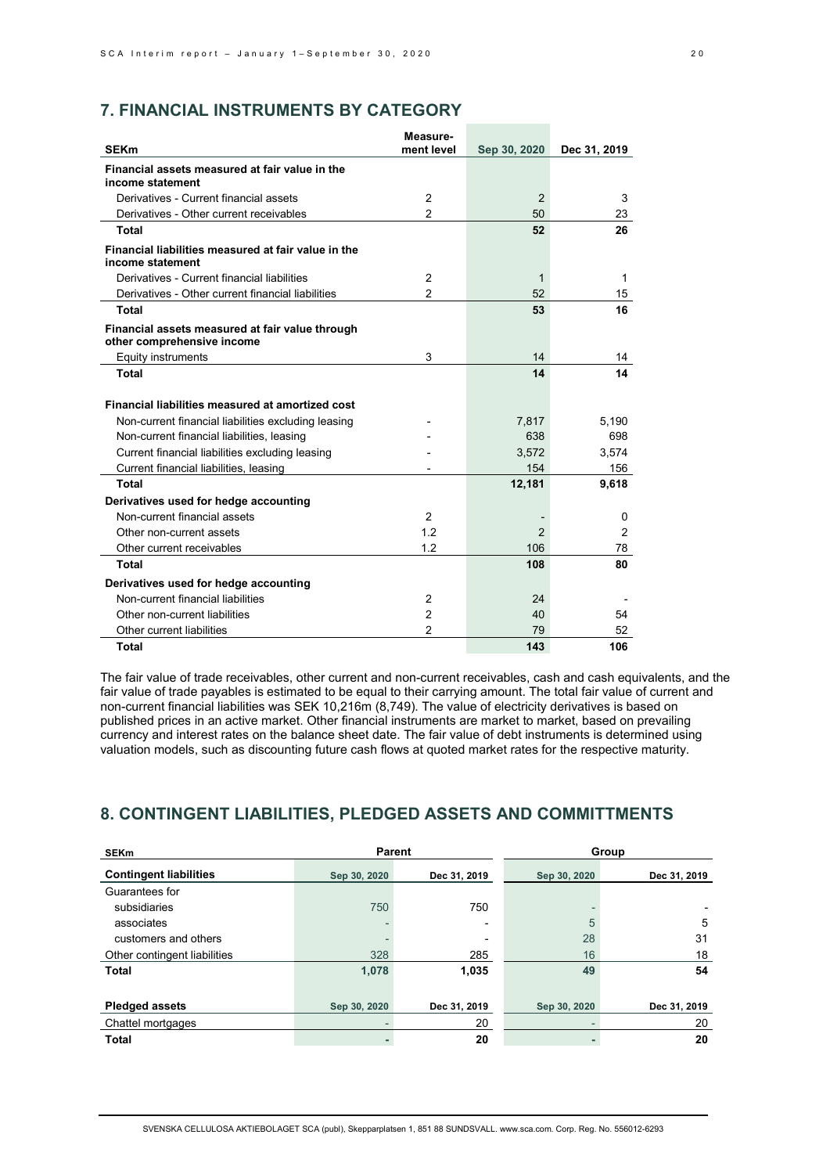# **7. FINANCIAL INSTRUMENTS BY CATEGORY**

|                                                                               | Measure-       |               |                |
|-------------------------------------------------------------------------------|----------------|---------------|----------------|
| <b>SEKm</b>                                                                   | ment level     | Sep 30, 2020  | Dec 31, 2019   |
| Financial assets measured at fair value in the<br>income statement            |                |               |                |
| Derivatives - Current financial assets                                        | $\overline{2}$ | 2             | 3              |
| Derivatives - Other current receivables                                       | 2              | 50            | 23             |
| <b>Total</b>                                                                  |                | 52            | 26             |
| Financial liabilities measured at fair value in the<br>income statement       |                |               |                |
| Derivatives - Current financial liabilities                                   | 2              | 1             | 1              |
| Derivatives - Other current financial liabilities                             | $\overline{2}$ | 52            | 15             |
| Total                                                                         |                | 53            | 16             |
| Financial assets measured at fair value through<br>other comprehensive income |                |               |                |
| Equity instruments                                                            | 3              | 14            | 14             |
| <b>Total</b>                                                                  |                | 14            | 14             |
| Financial liabilities measured at amortized cost                              |                |               |                |
| Non-current financial liabilities excluding leasing                           |                | 7,817         | 5,190          |
| Non-current financial liabilities, leasing                                    |                | 638           | 698            |
| Current financial liabilities excluding leasing                               |                | 3,572         | 3,574          |
| Current financial liabilities, leasing                                        |                | 154           | 156            |
| <b>Total</b>                                                                  |                | 12,181        | 9,618          |
| Derivatives used for hedge accounting                                         |                |               |                |
| Non-current financial assets                                                  | 2              |               | 0              |
| Other non-current assets                                                      | 12             | $\mathcal{P}$ | $\overline{2}$ |
| Other current receivables                                                     | 1.2            | 106           | 78             |
| <b>Total</b>                                                                  |                | 108           | 80             |
| Derivatives used for hedge accounting                                         |                |               |                |
| Non-current financial liabilities                                             | $\overline{2}$ | 24            |                |
| Other non-current liabilities                                                 | 2              | 40            | 54             |
| Other current liabilities                                                     | $\overline{2}$ | 79            | 52             |
| <b>Total</b>                                                                  |                | 143           | 106            |

The fair value of trade receivables, other current and non-current receivables, cash and cash equivalents, and the fair value of trade payables is estimated to be equal to their carrying amount. The total fair value of current and non-current financial liabilities was SEK 10,216m (8,749). The value of electricity derivatives is based on published prices in an active market. Other financial instruments are market to market, based on prevailing currency and interest rates on the balance sheet date. The fair value of debt instruments is determined using valuation models, such as discounting future cash flows at quoted market rates for the respective maturity.

# **8. CONTINGENT LIABILITIES, PLEDGED ASSETS AND COMMITTMENTS**

| <b>SEKm</b>                   | <b>Parent</b> |              |              | Group        |
|-------------------------------|---------------|--------------|--------------|--------------|
| <b>Contingent liabilities</b> | Sep 30, 2020  | Dec 31, 2019 | Sep 30, 2020 | Dec 31, 2019 |
| Guarantees for                |               |              |              |              |
| subsidiaries                  | 750           | 750          |              |              |
| associates                    |               |              | 5            | 5            |
| customers and others          |               |              | 28           | 31           |
| Other contingent liabilities  | 328           | 285          | 16           | 18           |
| <b>Total</b>                  | 1,078         | 1,035        | 49           | 54           |
|                               |               |              |              |              |
| <b>Pledged assets</b>         | Sep 30, 2020  | Dec 31, 2019 | Sep 30, 2020 | Dec 31, 2019 |
| Chattel mortgages             |               | 20           |              | 20           |
| <b>Total</b>                  |               | 20           |              | 20           |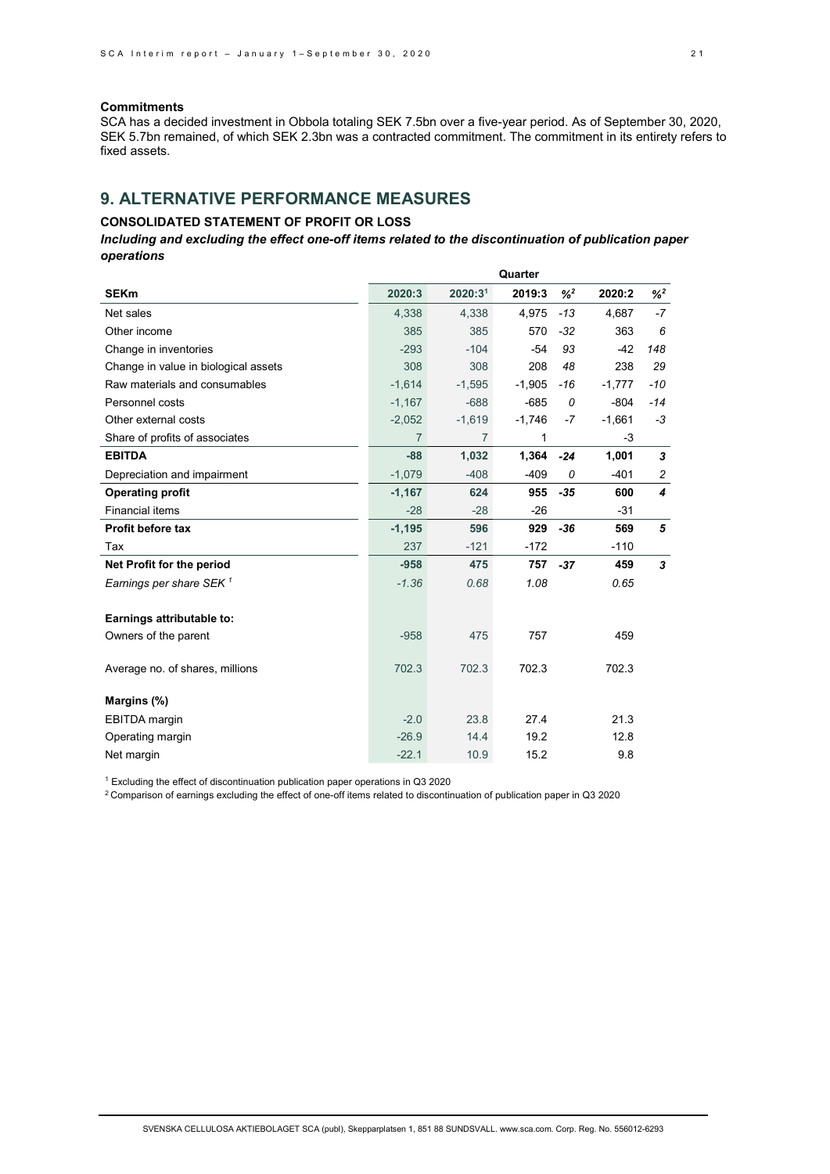# **Commitments**

SCA has a decided investment in Obbola totaling SEK 7.5bn over a five-year period. As of September 30, 2020, SEK 5.7bn remained, of which SEK 2.3bn was a contracted commitment. The commitment in its entirety refers to fixed assets.

# **9. ALTERNATIVE PERFORMANCE MEASURES**

# **CONSOLIDATED STATEMENT OF PROFIT OR LOSS**

*Including and excluding the effect one-off items related to the discontinuation of publication paper operations*

|                                      | Quarter        |                     |          |         |          |         |
|--------------------------------------|----------------|---------------------|----------|---------|----------|---------|
| <b>SEKm</b>                          | 2020:3         | 2020:3 <sup>1</sup> | 2019:3   | $%^{2}$ | 2020:2   | $%^{2}$ |
| Net sales                            | 4.338          | 4.338               | 4,975    | $-13$   | 4.687    | $-7$    |
| Other income                         | 385            | 385                 | 570      | $-32$   | 363      | 6       |
| Change in inventories                | $-293$         | $-104$              | $-54$    | 93      | $-42$    | 148     |
| Change in value in biological assets | 308            | 308                 | 208      | 48      | 238      | 29      |
| Raw materials and consumables        | $-1,614$       | $-1,595$            | $-1,905$ | $-16$   | $-1,777$ | $-10$   |
| Personnel costs                      | $-1,167$       | $-688$              | $-685$   | 0       | $-804$   | $-14$   |
| Other external costs                 | $-2,052$       | $-1,619$            | $-1,746$ | $-7$    | $-1,661$ | -3      |
| Share of profits of associates       | $\overline{7}$ | $\overline{7}$      | 1        |         | $-3$     |         |
| <b>EBITDA</b>                        | $-88$          | 1,032               | 1,364    | $-24$   | 1,001    | 3       |
| Depreciation and impairment          | $-1,079$       | $-408$              | $-409$   | 0       | $-401$   | 2       |
| <b>Operating profit</b>              | $-1,167$       | 624                 | 955      | $-35$   | 600      | 4       |
| <b>Financial items</b>               | $-28$          | $-28$               | $-26$    |         | $-31$    |         |
| <b>Profit before tax</b>             | $-1,195$       | 596                 | 929      | $-36$   | 569      | 5       |
| Tax                                  | 237            | $-121$              | $-172$   |         | $-110$   |         |
| Net Profit for the period            | $-958$         | 475                 | 757      | $-37$   | 459      | 3       |
| Earnings per share SEK $1$           | $-1.36$        | 0.68                | 1.08     |         | 0.65     |         |
|                                      |                |                     |          |         |          |         |
| Earnings attributable to:            |                |                     |          |         |          |         |
| Owners of the parent                 | $-958$         | 475                 | 757      |         | 459      |         |
| Average no. of shares, millions      | 702.3          | 702.3               | 702.3    |         | 702.3    |         |
|                                      |                |                     |          |         |          |         |
| Margins (%)                          |                |                     |          |         |          |         |
| <b>EBITDA</b> margin                 | $-2.0$         | 23.8                | 27.4     |         | 21.3     |         |
| Operating margin                     | $-26.9$        | 14.4                | 19.2     |         | 12.8     |         |
| Net margin                           | $-22.1$        | 10.9                | 15.2     |         | 9.8      |         |

<sup>1</sup> Excluding the effect of discontinuation publication paper operations in Q3 2020

2 Comparison of earnings excluding the effect of one-off items related to discontinuation of publication paper in Q3 2020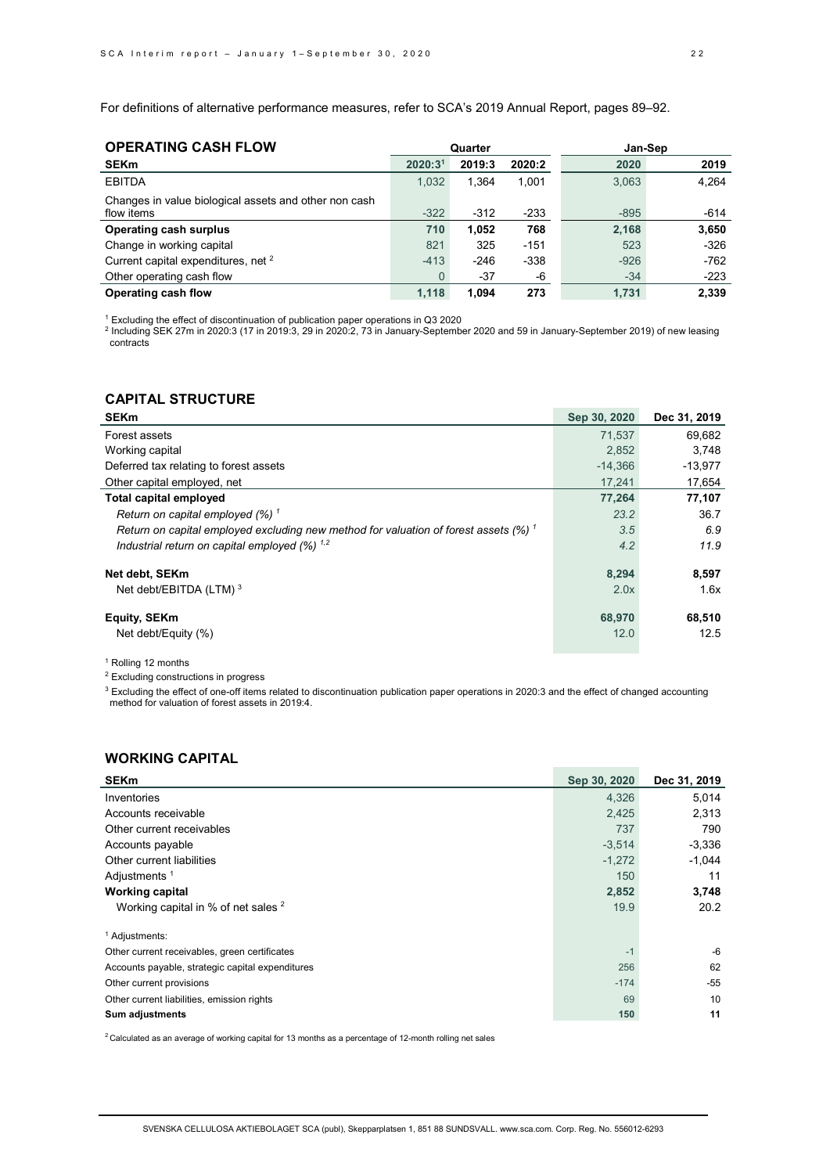For definitions of alternative performance measures, refer to SCA's 2019 Annual Report, pages 89–92.

| <b>OPERATING CASH FLOW</b>                            |                     | Quarter |        | Jan-Sep |        |
|-------------------------------------------------------|---------------------|---------|--------|---------|--------|
| <b>SEKm</b>                                           | 2020:3 <sup>1</sup> | 2019:3  | 2020:2 | 2020    | 2019   |
| <b>EBITDA</b>                                         | 1.032               | 1.364   | 1,001  | 3.063   | 4.264  |
| Changes in value biological assets and other non cash |                     |         |        |         |        |
| flow items                                            | $-322$              | $-312$  | $-233$ | $-895$  | $-614$ |
| <b>Operating cash surplus</b>                         | 710                 | 1.052   | 768    | 2,168   | 3,650  |
| Change in working capital                             | 821                 | 325     | $-151$ | 523     | $-326$ |
| Current capital expenditures, net <sup>2</sup>        | $-413$              | $-246$  | $-338$ | $-926$  | $-762$ |
| Other operating cash flow                             | $\mathbf{0}$        | $-37$   | -6     | $-34$   | $-223$ |
| Operating cash flow                                   | 1.118               | 1.094   | 273    | 1.731   | 2.339  |

<sup>1</sup> Excluding the effect of discontinuation of publication paper operations in Q3 2020

<sup>2</sup> Including SEK 27m in 2020:3 (17 in 2019:3, 29 in 2020:2, 73 in January-September 2020 and 59 in January-September 2019) of new leasing contracts

# **CAPITAL STRUCTURE**

| <b>SEKm</b>                                                                          | Sep 30, 2020 | Dec 31, 2019 |
|--------------------------------------------------------------------------------------|--------------|--------------|
| Forest assets                                                                        | 71.537       | 69,682       |
| Working capital                                                                      | 2.852        | 3.748        |
| Deferred tax relating to forest assets                                               | $-14.366$    | $-13,977$    |
| Other capital employed, net                                                          | 17,241       | 17,654       |
| <b>Total capital employed</b>                                                        | 77,264       | 77,107       |
| Return on capital employed $(%)$ <sup>1</sup>                                        | 23.2         | 36.7         |
| Return on capital employed excluding new method for valuation of forest assets (%) 1 | 3.5          | 6.9          |
| Industrial return on capital employed $(%)$ <sup>1,2</sup>                           | 4.2          | 11.9         |
| Net debt, SEKm                                                                       | 8,294        | 8,597        |
| Net debt/EBITDA (LTM) <sup>3</sup>                                                   | 2.0x         | 1.6x         |
| Equity, SEKm                                                                         | 68,970       | 68,510       |
| Net debt/Equity (%)                                                                  | 12.0         | 12.5         |

# <sup>1</sup> Rolling 12 months

<sup>2</sup> Excluding constructions in progress

<sup>3</sup> Excluding the effect of one-off items related to discontinuation publication paper operations in 2020:3 and the effect of changed accounting method for valuation of forest assets in 2019:4.

**COL** 

# **WORKING CAPITAL**

| <b>SEKm</b>                                      | Sep 30, 2020 | Dec 31, 2019 |
|--------------------------------------------------|--------------|--------------|
| Inventories                                      | 4,326        | 5,014        |
| Accounts receivable                              | 2,425        | 2,313        |
| Other current receivables                        | 737          | 790          |
| Accounts payable                                 | $-3,514$     | $-3,336$     |
| Other current liabilities                        | $-1,272$     | $-1,044$     |
| Adjustments <sup>1</sup>                         | 150          | 11           |
| <b>Working capital</b>                           | 2,852        | 3,748        |
| Working capital in % of net sales $2$            | 19.9         | 20.2         |
| <sup>1</sup> Adjustments:                        |              |              |
| Other current receivables, green certificates    | $-1$         | $-6$         |
| Accounts payable, strategic capital expenditures | 256          | 62           |
| Other current provisions                         | $-174$       | $-55$        |
| Other current liabilities, emission rights       | 69           | 10           |
| <b>Sum adjustments</b>                           | 150          | 11           |

 $2$  Calculated as an average of working capital for 13 months as a percentage of 12-month rolling net sales